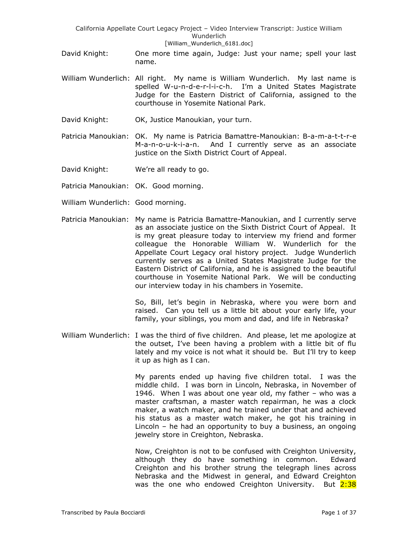- David Knight: One more time again, Judge: Just your name; spell your last name.
- William Wunderlich: All right. My name is William Wunderlich. My last name is spelled W-u-n-d-e-r-l-i-c-h. I'm a United States Magistrate Judge for the Eastern District of California, assigned to the courthouse in Yosemite National Park.
- David Knight: OK, Justice Manoukian, your turn.
- Patricia Manoukian: OK. My name is Patricia Bamattre-Manoukian: B-a-m-a-t-t-r-e M-a-n-o-u-k-i-a-n. And I currently serve as an associate justice on the Sixth District Court of Appeal.
- David Knight: We're all ready to go.
- Patricia Manoukian: OK. Good morning.
- William Wunderlich: Good morning.
- Patricia Manoukian: My name is Patricia Bamattre-Manoukian, and I currently serve as an associate justice on the Sixth District Court of Appeal. It is my great pleasure today to interview my friend and former colleague the Honorable William W. Wunderlich for the Appellate Court Legacy oral history project. Judge Wunderlich currently serves as a United States Magistrate Judge for the Eastern District of California, and he is assigned to the beautiful courthouse in Yosemite National Park. We will be conducting our interview today in his chambers in Yosemite.

So, Bill, let's begin in Nebraska, where you were born and raised. Can you tell us a little bit about your early life, your family, your siblings, you mom and dad, and life in Nebraska?

William Wunderlich: I was the third of five children. And please, let me apologize at the outset, I've been having a problem with a little bit of flu lately and my voice is not what it should be. But I'll try to keep it up as high as I can.

> My parents ended up having five children total. I was the middle child. I was born in Lincoln, Nebraska, in November of 1946. When I was about one year old, my father – who was a master craftsman, a master watch repairman, he was a clock maker, a watch maker, and he trained under that and achieved his status as a master watch maker, he got his training in Lincoln – he had an opportunity to buy a business, an ongoing jewelry store in Creighton, Nebraska.

> Now, Creighton is not to be confused with Creighton University, although they do have something in common. Edward Creighton and his brother strung the telegraph lines across Nebraska and the Midwest in general, and Edward Creighton was the one who endowed Creighton University. But 2:38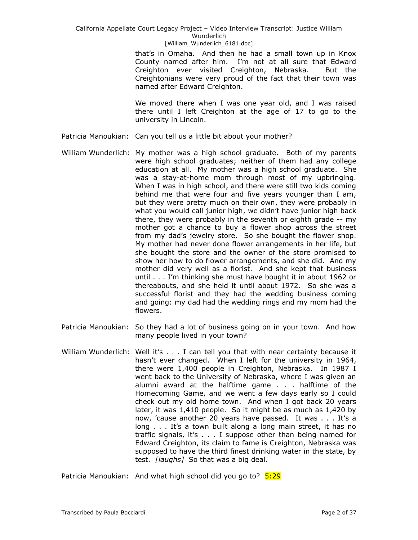## California Appellate Court Legacy Project – Video Interview Transcript: Justice William Wunderlich

#### [William\_Wunderlich\_6181.doc]

that's in Omaha. And then he had a small town up in Knox County named after him. I'm not at all sure that Edward Creighton ever visited Creighton, Nebraska. But the Creightonians were very proud of the fact that their town was named after Edward Creighton.

We moved there when I was one year old, and I was raised there until I left Creighton at the age of 17 to go to the university in Lincoln.

- Patricia Manoukian: Can you tell us a little bit about your mother?
- William Wunderlich: My mother was a high school graduate. Both of my parents were high school graduates; neither of them had any college education at all. My mother was a high school graduate. She was a stay-at-home mom through most of my upbringing. When I was in high school, and there were still two kids coming behind me that were four and five years younger than I am, but they were pretty much on their own, they were probably in what you would call junior high, we didn't have junior high back there, they were probably in the seventh or eighth grade -- my mother got a chance to buy a flower shop across the street from my dad's jewelry store. So she bought the flower shop. My mother had never done flower arrangements in her life, but she bought the store and the owner of the store promised to show her how to do flower arrangements, and she did. And my mother did very well as a florist. And she kept that business until . . . I'm thinking she must have bought it in about 1962 or thereabouts, and she held it until about 1972. So she was a successful florist and they had the wedding business coming and going: my dad had the wedding rings and my mom had the flowers.
- Patricia Manoukian: So they had a lot of business going on in your town. And how many people lived in your town?
- William Wunderlich: Well it's . . . I can tell you that with near certainty because it hasn't ever changed. When I left for the university in 1964, there were 1,400 people in Creighton, Nebraska. In 1987 I went back to the University of Nebraska, where I was given an alumni award at the halftime game . . . halftime of the Homecoming Game, and we went a few days early so I could check out my old home town. And when I got back 20 years later, it was 1,410 people. So it might be as much as 1,420 by now, 'cause another 20 years have passed. It was . . . It's a long . . . It's a town built along a long main street, it has no traffic signals, it's . . . I suppose other than being named for Edward Creighton, its claim to fame is Creighton, Nebraska was supposed to have the third finest drinking water in the state, by test. *[laughs]* So that was a big deal.

Patricia Manoukian: And what high school did you go to? 5:29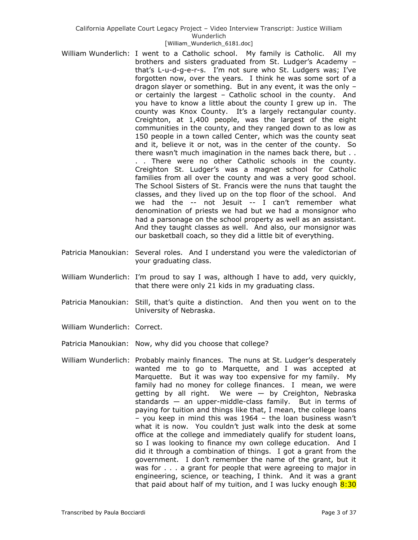- William Wunderlich: I went to a Catholic school. My family is Catholic. All my brothers and sisters graduated from St. Ludger's Academy – that's L-u-d-g-e-r-s. I'm not sure who St. Ludgers was; I've forgotten now, over the years. I think he was some sort of a dragon slayer or something. But in any event, it was the only – or certainly the largest – Catholic school in the county. And you have to know a little about the county I grew up in. The county was Knox County. It's a largely rectangular county. Creighton, at 1,400 people, was the largest of the eight communities in the county, and they ranged down to as low as 150 people in a town called Center, which was the county seat and it, believe it or not, was in the center of the county. So there wasn't much imagination in the names back there, but . . . . There were no other Catholic schools in the county. Creighton St. Ludger's was a magnet school for Catholic families from all over the county and was a very good school. The School Sisters of St. Francis were the nuns that taught the classes, and they lived up on the top floor of the school. And we had the -- not Jesuit -- I can't remember what denomination of priests we had but we had a monsignor who had a parsonage on the school property as well as an assistant. And they taught classes as well. And also, our monsignor was our basketball coach, so they did a little bit of everything.
- Patricia Manoukian: Several roles. And I understand you were the valedictorian of your graduating class.
- William Wunderlich: I'm proud to say I was, although I have to add, very quickly, that there were only 21 kids in my graduating class.
- Patricia Manoukian: Still, that's quite a distinction. And then you went on to the University of Nebraska.
- William Wunderlich: Correct.
- Patricia Manoukian: Now, why did you choose that college?
- William Wunderlich: Probably mainly finances. The nuns at St. Ludger's desperately wanted me to go to Marquette, and I was accepted at Marquette. But it was way too expensive for my family. My family had no money for college finances. I mean, we were getting by all right. We were — by Creighton, Nebraska standards — an upper-middle-class family. But in terms of paying for tuition and things like that, I mean, the college loans – you keep in mind this was 1964 – the loan business wasn't what it is now. You couldn't just walk into the desk at some office at the college and immediately qualify for student loans, so I was looking to finance my own college education. And I did it through a combination of things. I got a grant from the government. I don't remember the name of the grant, but it was for . . . a grant for people that were agreeing to major in engineering, science, or teaching, I think. And it was a grant that paid about half of my tuition, and I was lucky enough  $8:30$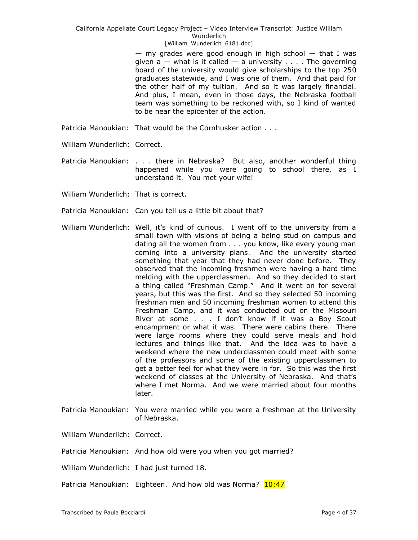$-$  my grades were good enough in high school  $-$  that I was given  $a - w$  hat is it called  $- a$  university . . . . The governing board of the university would give scholarships to the top 250 graduates statewide, and I was one of them. And that paid for the other half of my tuition. And so it was largely financial. And plus, I mean, even in those days, the Nebraska football team was something to be reckoned with, so I kind of wanted to be near the epicenter of the action.

- Patricia Manoukian: That would be the Cornhusker action . . .
- William Wunderlich: Correct.
- Patricia Manoukian: . . . there in Nebraska? But also, another wonderful thing happened while you were going to school there, as I understand it. You met your wife!
- William Wunderlich: That is correct.
- Patricia Manoukian: Can you tell us a little bit about that?
- William Wunderlich: Well, it's kind of curious. I went off to the university from a small town with visions of being a being stud on campus and dating all the women from . . . you know, like every young man coming into a university plans. And the university started something that year that they had never done before. They observed that the incoming freshmen were having a hard time melding with the upperclassmen. And so they decided to start a thing called "Freshman Camp." And it went on for several years, but this was the first. And so they selected 50 incoming freshman men and 50 incoming freshman women to attend this Freshman Camp, and it was conducted out on the Missouri River at some . . . I don't know if it was a Boy Scout encampment or what it was. There were cabins there. There were large rooms where they could serve meals and hold lectures and things like that. And the idea was to have a weekend where the new underclassmen could meet with some of the professors and some of the existing upperclassmen to get a better feel for what they were in for. So this was the first weekend of classes at the University of Nebraska. And that's where I met Norma. And we were married about four months later.
- Patricia Manoukian: You were married while you were a freshman at the University of Nebraska.

William Wunderlich: Correct.

Patricia Manoukian: And how old were you when you got married?

William Wunderlich: I had just turned 18.

Patricia Manoukian: Eighteen. And how old was Norma? 10:47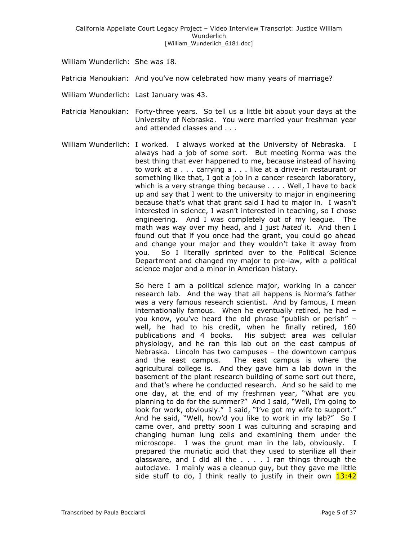William Wunderlich: She was 18.

Patricia Manoukian: And you've now celebrated how many years of marriage?

- William Wunderlich: Last January was 43.
- Patricia Manoukian: Forty-three years. So tell us a little bit about your days at the University of Nebraska. You were married your freshman year and attended classes and . . .
- William Wunderlich: I worked. I always worked at the University of Nebraska. I always had a job of some sort. But meeting Norma was the best thing that ever happened to me, because instead of having to work at a . . . carrying a . . . like at a drive-in restaurant or something like that, I got a job in a cancer research laboratory, which is a very strange thing because . . . . Well, I have to back up and say that I went to the university to major in engineering because that's what that grant said I had to major in. I wasn't interested in science, I wasn't interested in teaching, so I chose engineering. And I was completely out of my league. The math was way over my head, and I just *hated* it. And then I found out that if you once had the grant, you could go ahead and change your major and they wouldn't take it away from you. So I literally sprinted over to the Political Science Department and changed my major to pre-law, with a political science major and a minor in American history.

So here I am a political science major, working in a cancer research lab. And the way that all happens is Norma's father was a very famous research scientist. And by famous, I mean internationally famous. When he eventually retired, he had – you know, you've heard the old phrase "publish or perish" well, he had to his credit, when he finally retired, 160 publications and 4 books. His subject area was cellular physiology, and he ran this lab out on the east campus of Nebraska. Lincoln has two campuses – the downtown campus and the east campus. The east campus is where the agricultural college is. And they gave him a lab down in the basement of the plant research building of some sort out there, and that's where he conducted research. And so he said to me one day, at the end of my freshman year, "What are you planning to do for the summer?" And I said, "Well, I'm going to look for work, obviously." I said, "I've got my wife to support." And he said, "Well, how'd you like to work in my lab?" So I came over, and pretty soon I was culturing and scraping and changing human lung cells and examining them under the microscope. I was the grunt man in the lab, obviously. I prepared the muriatic acid that they used to sterilize all their glassware, and I did all the . . . . I ran things through the autoclave. I mainly was a cleanup guy, but they gave me little side stuff to do, I think really to justify in their own  $13:42$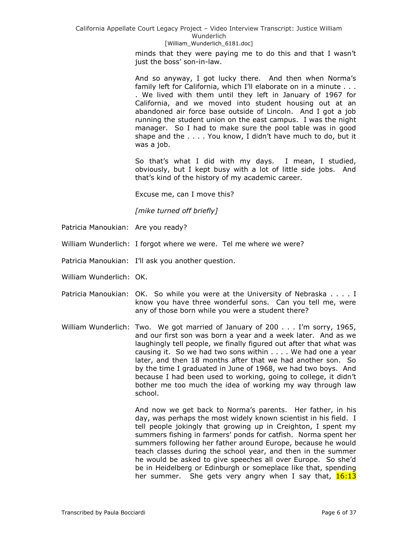> minds that they were paying me to do this and that I wasn't just the boss' son-in-law.

> And so anyway, I got lucky there. And then when Norma's family left for California, which I'll elaborate on in a minute . . . . We lived with them until they left in January of 1967 for California, and we moved into student housing out at an abandoned air force base outside of Lincoln. And I got a job running the student union on the east campus. I was the night manager. So I had to make sure the pool table was in good shape and the . . . . You know, I didn't have much to do, but it was a job.

> So that's what I did with my days. I mean, I studied, obviously, but I kept busy with a lot of little side jobs. And that's kind of the history of my academic career.

Excuse me, can I move this?

*[mike turned off briefly]*

- Patricia Manoukian: Are you ready?
- William Wunderlich: I forgot where we were. Tel me where we were?
- Patricia Manoukian: I'll ask you another question.
- William Wunderlich: OK.
- Patricia Manoukian: OK. So while you were at the University of Nebraska . . . . I know you have three wonderful sons. Can you tell me, were any of those born while you were a student there?
- William Wunderlich: Two. We got married of January of 200 . . . I'm sorry, 1965, and our first son was born a year and a week later. And as we laughingly tell people, we finally figured out after that what was causing it. So we had two sons within . . . . We had one a year later, and then 18 months after that we had another son. So by the time I graduated in June of 1968, we had two boys. And because I had been used to working, going to college, it didn't bother me too much the idea of working my way through law school.

And now we get back to Norma's parents. Her father, in his day, was perhaps the most widely known scientist in his field. I tell people jokingly that growing up in Creighton, I spent my summers fishing in farmers' ponds for catfish. Norma spent her summers following her father around Europe, because he would teach classes during the school year, and then in the summer he would be asked to give speeches all over Europe. So she'd be in Heidelberg or Edinburgh or someplace like that, spending her summer. She gets very angry when I say that,  $16:13$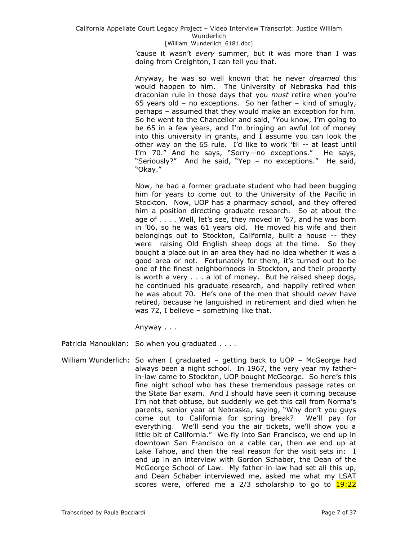'cause it wasn't *every* summer, but it was more than I was doing from Creighton, I can tell you that.

Anyway, he was so well known that he never *dreamed* this would happen to him. The University of Nebraska had this draconian rule in those days that you *must* retire when you're 65 years old – no exceptions. So her father – kind of smugly, perhaps – assumed that they would make an exception for him. So he went to the Chancellor and said, "You know, I'm going to be 65 in a few years, and I'm bringing an awful lot of money into this university in grants, and I assume you can look the other way on the 65 rule. I'd like to work 'til -- at least until I'm 70." And he says, "Sorry—no exceptions." He says, "Seriously?" And he said, "Yep - no exceptions." He said, "Okay."

Now, he had a former graduate student who had been bugging him for years to come out to the University of the Pacific in Stockton. Now, UOP has a pharmacy school, and they offered him a position directing graduate research. So at about the age of . . . . Well, let's see, they moved in '67, and he was born in '06, so he was 61 years old. He moved his wife and their belongings out to Stockton, California, built a house -- they were raising Old English sheep dogs at the time. So they bought a place out in an area they had no idea whether it was a good area or not. Fortunately for them, it's turned out to be one of the finest neighborhoods in Stockton, and their property is worth a very . . . a lot of money. But he raised sheep dogs, he continued his graduate research, and happily retired when he was about 70. He's one of the men that should *never* have retired, because he languished in retirement and died when he was 72, I believe – something like that.

Anyway . . .

Patricia Manoukian: So when you graduated . . . .

William Wunderlich: So when I graduated – getting back to UOP – McGeorge had always been a night school. In 1967, the very year my fatherin-law came to Stockton, UOP bought McGeorge. So here's this fine night school who has these tremendous passage rates on the State Bar exam. And I should have seen it coming because I'm not that obtuse, but suddenly we get this call from Norma's parents, senior year at Nebraska, saying, "Why don't you guys come out to California for spring break? We'll pay for everything. We'll send you the air tickets, we'll show you a little bit of California." We fly into San Francisco, we end up in downtown San Francisco on a cable car, then we end up at Lake Tahoe, and then the real reason for the visit sets in: I end up in an interview with Gordon Schaber, the Dean of the McGeorge School of Law. My father-in-law had set all this up, and Dean Schaber interviewed me, asked me what my LSAT scores were, offered me a 2/3 scholarship to go to 19:22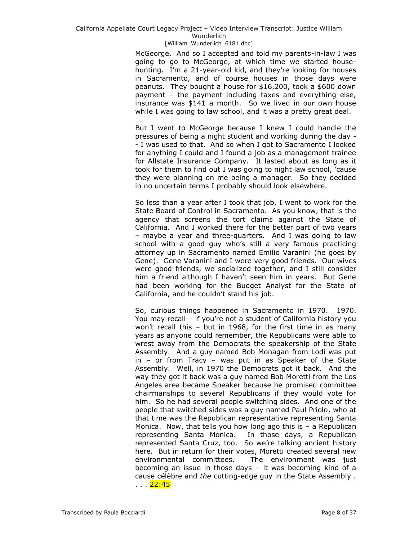McGeorge. And so I accepted and told my parents-in-law I was going to go to McGeorge, at which time we started househunting. I'm a 21-year-old kid, and they're looking for houses in Sacramento, and of course houses in those days were peanuts. They bought a house for \$16,200, took a \$600 down payment – the payment including taxes and everything else, insurance was \$141 a month. So we lived in our own house while I was going to law school, and it was a pretty great deal.

But I went to McGeorge because I knew I could handle the pressures of being a night student and working during the day - - I was used to that. And so when I got to Sacramento I looked for anything I could and I found a job as a management trainee for Allstate Insurance Company. It lasted about as long as it took for them to find out I was going to night law school, 'cause they were planning on me being a manager. So they decided in no uncertain terms I probably should look elsewhere.

So less than a year after I took that job, I went to work for the State Board of Control in Sacramento. As you know, that is the agency that screens the tort claims against the State of California. And I worked there for the better part of two years – maybe a year and three-quarters. And I was going to law school with a good guy who's still a very famous practicing attorney up in Sacramento named Emilio Varanini (he goes by Gene). Gene Varanini and I were very good friends. Our wives were good friends, we socialized together, and I still consider him a friend although I haven't seen him in years. But Gene had been working for the Budget Analyst for the State of California, and he couldn't stand his job.

So, curious things happened in Sacramento in 1970. 1970. You may recall – if you're not a student of California history you won't recall this – but in 1968, for the first time in as many years as anyone could remember, the Republicans were able to wrest away from the Democrats the speakership of the State Assembly. And a guy named Bob Monagan from Lodi was put in – or from Tracy – was put in as Speaker of the State Assembly. Well, in 1970 the Democrats got it back. And the way they got it back was a guy named Bob Moretti from the Los Angeles area became Speaker because he promised committee chairmanships to several Republicans if they would vote for him. So he had several people switching sides. And one of the people that switched sides was a guy named Paul Priolo, who at that time was the Republican representative representing Santa Monica. Now, that tells you how long ago this is  $-$  a Republican representing Santa Monica. In those days, a Republican represented Santa Cruz, too. So we're talking ancient history here. But in return for their votes, Moretti created several new environmental committees. The environment was just becoming an issue in those days – it was becoming kind of a cause célèbre and *the* cutting-edge guy in the State Assembly . . . . <mark>22:45</mark>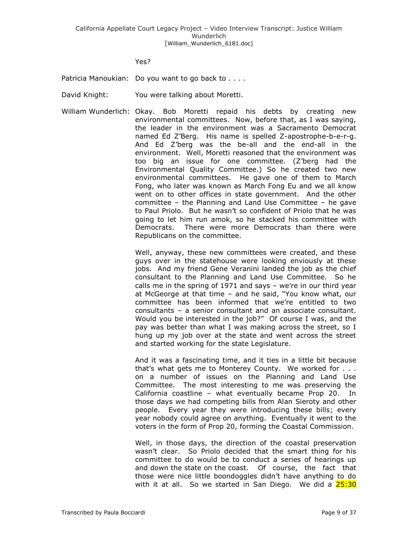Yes?

Patricia Manoukian: Do you want to go back to . . . .

- David Knight: You were talking about Moretti.
- William Wunderlich: Okay. Bob Moretti repaid his debts by creating new environmental committees. Now, before that, as I was saying, the leader in the environment was a Sacramento Democrat named Ed Z'Berg. His name is spelled Z-apostrophe-b-e-r-g. And Ed Z'berg was the be-all and the end-all in the environment. Well, Moretti reasoned that the environment was too big an issue for one committee. (Z'berg had the Environmental Quality Committee.) So he created two new environmental committees. He gave one of them to March Fong, who later was known as March Fong Eu and we all know went on to other offices in state government. And the other committee – the Planning and Land Use Committee – he gave to Paul Priolo. But he wasn't so confident of Priolo that he was going to let him run amok, so he stacked his committee with Democrats. There were more Democrats than there were Republicans on the committee.

Well, anyway, these new committees were created, and these guys over in the statehouse were looking enviously at these jobs. And my friend Gene Veranini landed the job as the chief consultant to the Planning and Land Use Committee. So he calls me in the spring of 1971 and says – we're in our third year at McGeorge at that time – and he said, "You know what, our committee has been informed that we're entitled to two consultants – a senior consultant and an associate consultant. Would you be interested in the job?" Of course I was, and the pay was better than what I was making across the street, so I hung up my job over at the state and went across the street and started working for the state Legislature.

And it was a fascinating time, and it ties in a little bit because that's what gets me to Monterey County. We worked for . . . on a number of issues on the Planning and Land Use Committee. The most interesting to me was preserving the California coastline – what eventually became Prop 20. In those days we had competing bills from Alan Sieroty and other people. Every year they were introducing these bills; every year nobody could agree on anything. Eventually it went to the voters in the form of Prop 20, forming the Coastal Commission.

Well, in those days, the direction of the coastal preservation wasn't clear. So Priolo decided that the smart thing for his committee to do would be to conduct a series of hearings up and down the state on the coast. Of course, the fact that those were nice little boondoggles didn't have anything to do with it at all. So we started in San Diego. We did a  $25:30$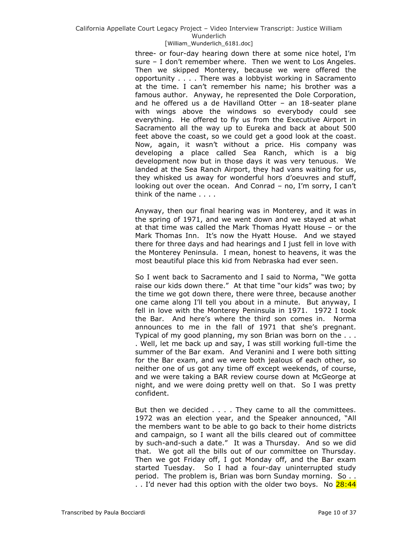three- or four-day hearing down there at some nice hotel, I'm sure – I don't remember where. Then we went to Los Angeles. Then we skipped Monterey, because we were offered the opportunity . . . . There was a lobbyist working in Sacramento at the time. I can't remember his name; his brother was a famous author. Anyway, he represented the Dole Corporation, and he offered us a de Havilland Otter – an 18-seater plane with wings above the windows so everybody could see everything. He offered to fly us from the Executive Airport in Sacramento all the way up to Eureka and back at about 500 feet above the coast, so we could get a good look at the coast. Now, again, it wasn't without a price. His company was developing a place called Sea Ranch, which is a big development now but in those days it was very tenuous. We landed at the Sea Ranch Airport, they had vans waiting for us, they whisked us away for wonderful hors d'oeuvres and stuff, looking out over the ocean. And Conrad – no, I'm sorry, I can't think of the name . . . .

Anyway, then our final hearing was in Monterey, and it was in the spring of 1971, and we went down and we stayed at what at that time was called the Mark Thomas Hyatt House – or the Mark Thomas Inn. It's now the Hyatt House. And we stayed there for three days and had hearings and I just fell in love with the Monterey Peninsula. I mean, honest to heavens, it was the most beautiful place this kid from Nebraska had ever seen.

So I went back to Sacramento and I said to Norma, "We gotta raise our kids down there." At that time "our kids" was two; by the time we got down there, there were three, because another one came along I'll tell you about in a minute. But anyway, I fell in love with the Monterey Peninsula in 1971. 1972 I took the Bar. And here's where the third son comes in. Norma announces to me in the fall of 1971 that she's pregnant. Typical of my good planning, my son Brian was born on the . . . . Well, let me back up and say, I was still working full-time the summer of the Bar exam. And Veranini and I were both sitting for the Bar exam, and we were both jealous of each other, so neither one of us got any time off except weekends, of course, and we were taking a BAR review course down at McGeorge at night, and we were doing pretty well on that. So I was pretty confident.

But then we decided . . . . They came to all the committees. 1972 was an election year, and the Speaker announced, "All the members want to be able to go back to their home districts and campaign, so I want all the bills cleared out of committee by such-and-such a date." It was a Thursday. And so we did that. We got all the bills out of our committee on Thursday. Then we got Friday off, I got Monday off, and the Bar exam started Tuesday. So I had a four-day uninterrupted study period. The problem is, Brian was born Sunday morning. So . . .. I'd never had this option with the older two boys. No 28:44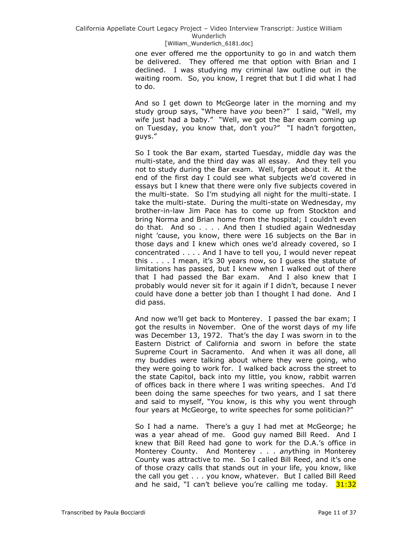one ever offered me the opportunity to go in and watch them be delivered. They offered me that option with Brian and I declined. I was studying my criminal law outline out in the waiting room. So, you know, I regret that but I did what I had to do.

And so I get down to McGeorge later in the morning and my study group says, "Where have you been?" I said, "Well, my wife just had a baby." "Well, we got the Bar exam coming up on Tuesday, you know that, don't you?" "I hadn't forgotten, guys."

So I took the Bar exam, started Tuesday, middle day was the multi-state, and the third day was all essay. And they tell you not to study during the Bar exam. Well, forget about it. At the end of the first day I could see what subjects we'd covered in essays but I knew that there were only five subjects covered in the multi-state. So I'm studying all night for the multi-state. I take the multi-state. During the multi-state on Wednesday, my brother-in-law Jim Pace has to come up from Stockton and bring Norma and Brian home from the hospital; I couldn't even do that. And so . . . . And then I studied again Wednesday night 'cause, you know, there were 16 subjects on the Bar in those days and I knew which ones we'd already covered, so I concentrated . . . . And I have to tell you, I would never repeat this . . . . I mean, it's 30 years now, so I guess the statute of limitations has passed, but I knew when I walked out of there that I had passed the Bar exam. And I also knew that I probably would never sit for it again if I didn't, because I never could have done a better job than I thought I had done. And I did pass.

And now we'll get back to Monterey. I passed the bar exam; I got the results in November. One of the worst days of my life was December 13, 1972. That's the day I was sworn in to the Eastern District of California and sworn in before the state Supreme Court in Sacramento. And when it was all done, all my buddies were talking about where they were going, who they were going to work for. I walked back across the street to the state Capitol, back into my little, you know, rabbit warren of offices back in there where I was writing speeches. And I'd been doing the same speeches for two years, and I sat there and said to myself, "You know, is this why you went through four years at McGeorge, to write speeches for some politician?"

So I had a name. There's a guy I had met at McGeorge; he was a year ahead of me. Good guy named Bill Reed. And I knew that Bill Reed had gone to work for the D.A.'s office in Monterey County. And Monterey . . . *any*thing in Monterey County was attractive to me. So I called Bill Reed, and it's one of those crazy calls that stands out in your life, you know, like the call you get . . . you know, whatever. But I called Bill Reed and he said, "I can't believe you're calling me today.  $31:32$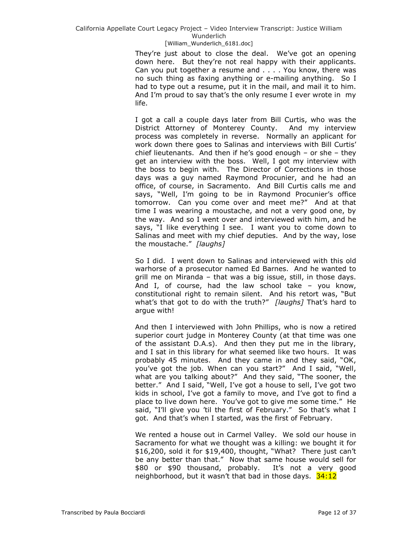# California Appellate Court Legacy Project – Video Interview Transcript: Justice William Wunderlich

### [William\_Wunderlich\_6181.doc]

They're just about to close the deal. We've got an opening down here. But they're not real happy with their applicants. Can you put together a resume and . . . . You know, there was no such thing as faxing anything or e-mailing anything. So I had to type out a resume, put it in the mail, and mail it to him. And I'm proud to say that's the only resume I ever wrote in my life.

I got a call a couple days later from Bill Curtis, who was the District Attorney of Monterey County. And my interview process was completely in reverse. Normally an applicant for work down there goes to Salinas and interviews with Bill Curtis' chief lieutenants. And then if he's good enough – or she – they get an interview with the boss. Well, I got my interview with the boss to begin with. The Director of Corrections in those days was a guy named Raymond Procunier, and he had an office, of course, in Sacramento. And Bill Curtis calls me and says, "Well, I'm going to be in Raymond Procunier's office tomorrow. Can you come over and meet me?" And at that time I was wearing a moustache, and not a very good one, by the way. And so I went over and interviewed with him, and he says, "I like everything I see. I want you to come down to Salinas and meet with my chief deputies. And by the way, lose the moustache.‖ *[laughs]*

So I did. I went down to Salinas and interviewed with this old warhorse of a prosecutor named Ed Barnes. And he wanted to grill me on Miranda – that was a big issue, still, in those days. And I, of course, had the law school take – you know, constitutional right to remain silent. And his retort was, "But what's that got to do with the truth?" [laughs] That's hard to argue with!

And then I interviewed with John Phillips, who is now a retired superior court judge in Monterey County (at that time was one of the assistant D.A.s). And then they put me in the library, and I sat in this library for what seemed like two hours. It was probably 45 minutes. And they came in and they said, "OK, you've got the job. When can you start?" And I said, "Well, what are you talking about?" And they said, "The sooner, the better." And I said, "Well, I've got a house to sell, I've got two kids in school, I've got a family to move, and I've got to find a place to live down here. You've got to give me some time." He said, "I'll give you 'til the first of February." So that's what I got. And that's when I started, was the first of February.

We rented a house out in Carmel Valley. We sold our house in Sacramento for what we thought was a killing: we bought it for \$16,200, sold it for \$19,400, thought, "What? There just can't be any better than that." Now that same house would sell for \$80 or \$90 thousand, probably. It's not a very good neighborhood, but it wasn't that bad in those days. 34:12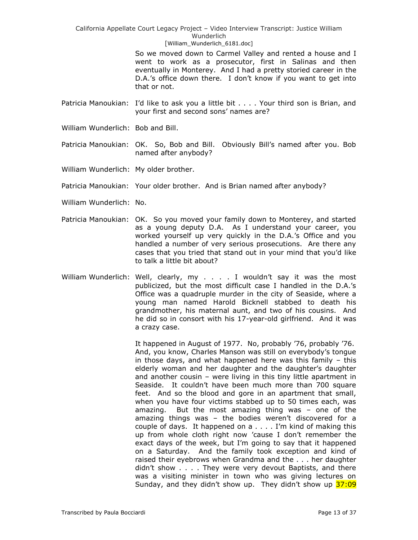> So we moved down to Carmel Valley and rented a house and I went to work as a prosecutor, first in Salinas and then eventually in Monterey. And I had a pretty storied career in the D.A.'s office down there. I don't know if you want to get into that or not.

- Patricia Manoukian: I'd like to ask you a little bit . . . . Your third son is Brian, and your first and second sons' names are?
- William Wunderlich: Bob and Bill.
- Patricia Manoukian: OK. So, Bob and Bill. Obviously Bill's named after you. Bob named after anybody?
- William Wunderlich: My older brother.
- Patricia Manoukian: Your older brother. And is Brian named after anybody?
- William Wunderlich: No.
- Patricia Manoukian: OK. So you moved your family down to Monterey, and started as a young deputy D.A. As I understand your career, you worked yourself up very quickly in the D.A.'s Office and you handled a number of very serious prosecutions. Are there any cases that you tried that stand out in your mind that you'd like to talk a little bit about?
- William Wunderlich: Well, clearly, my . . . . I wouldn't say it was the most publicized, but the most difficult case I handled in the D.A.'s Office was a quadruple murder in the city of Seaside, where a young man named Harold Bicknell stabbed to death his grandmother, his maternal aunt, and two of his cousins. And he did so in consort with his 17-year-old girlfriend. And it was a crazy case.

It happened in August of 1977. No, probably '76, probably '76. And, you know, Charles Manson was still on everybody's tongue in those days, and what happened here was this family – this elderly woman and her daughter and the daughter's daughter and another cousin – were living in this tiny little apartment in Seaside. It couldn't have been much more than 700 square feet. And so the blood and gore in an apartment that small, when you have four victims stabbed up to 50 times each, was amazing. But the most amazing thing was – one of the amazing things was – the bodies weren't discovered for a couple of days. It happened on a . . . . I'm kind of making this up from whole cloth right now 'cause I don't remember the exact days of the week, but I'm going to say that it happened on a Saturday. And the family took exception and kind of raised their eyebrows when Grandma and the . . . her daughter didn't show . . . . They were very devout Baptists, and there was a visiting minister in town who was giving lectures on Sunday, and they didn't show up. They didn't show up 37:09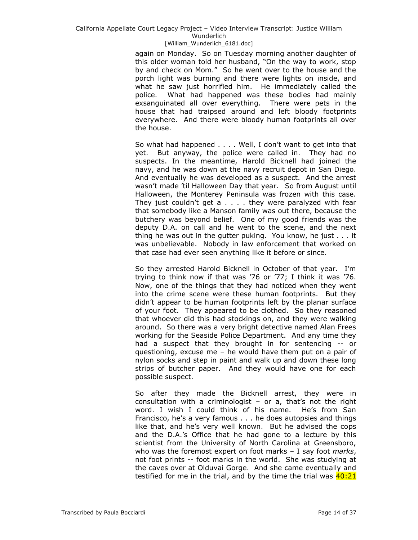again on Monday. So on Tuesday morning another daughter of this older woman told her husband, "On the way to work, stop by and check on Mom." So he went over to the house and the porch light was burning and there were lights on inside, and what he saw just horrified him. He immediately called the police. What had happened was these bodies had mainly exsanguinated all over everything. There were pets in the house that had traipsed around and left bloody footprints everywhere. And there were bloody human footprints all over the house.

So what had happened . . . . Well, I don't want to get into that yet. But anyway, the police were called in. They had no suspects. In the meantime, Harold Bicknell had joined the navy, and he was down at the navy recruit depot in San Diego. And eventually he was developed as a suspect. And the arrest wasn't made 'til Halloween Day that year. So from August until Halloween, the Monterey Peninsula was frozen with this case. They just couldn't get  $a \ldots$  . they were paralyzed with fear that somebody like a Manson family was out there, because the butchery was beyond belief. One of my good friends was the deputy D.A. on call and he went to the scene, and the next thing he was out in the gutter puking. You know, he just . . . it was unbelievable. Nobody in law enforcement that worked on that case had ever seen anything like it before or since.

So they arrested Harold Bicknell in October of that year. I'm trying to think now if that was '76 or '77; I think it was '76. Now, one of the things that they had noticed when they went into the crime scene were these human footprints. But they didn't appear to be human footprints left by the planar surface of your foot. They appeared to be clothed. So they reasoned that whoever did this had stockings on, and they were walking around. So there was a very bright detective named Alan Frees working for the Seaside Police Department. And any time they had a suspect that they brought in for sentencing -- or questioning, excuse me – he would have them put on a pair of nylon socks and step in paint and walk up and down these long strips of butcher paper. And they would have one for each possible suspect.

So after they made the Bicknell arrest, they were in consultation with a criminologist  $-$  or a, that's not the right word. I wish I could think of his name. He's from San Francisco, he's a very famous . . . he does autopsies and things like that, and he's very well known. But he advised the cops and the D.A.'s Office that he had gone to a lecture by this scientist from the University of North Carolina at Greensboro, who was the foremost expert on foot marks – I say foot *marks*, not foot prints -- foot marks in the world. She was studying at the caves over at Olduvai Gorge. And she came eventually and testified for me in the trial, and by the time the trial was  $40:21$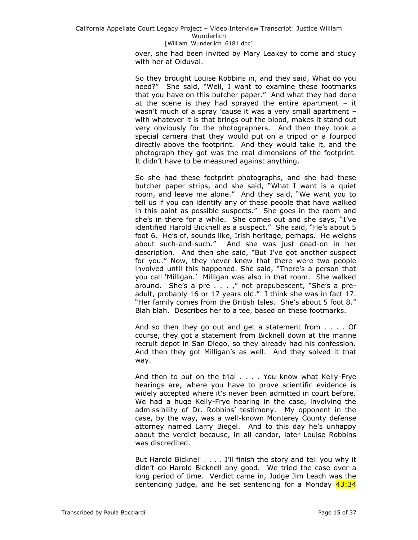over, she had been invited by Mary Leakey to come and study with her at Olduvai.

So they brought Louise Robbins in, and they said, What do you need?" She said, "Well, I want to examine these footmarks that you have on this butcher paper." And what they had done at the scene is they had sprayed the entire apartment  $-$  it wasn't much of a spray 'cause it was a very small apartment – with whatever it is that brings out the blood, makes it stand out very obviously for the photographers. And then they took a special camera that they would put on a tripod or a fourpod directly above the footprint. And they would take it, and the photograph they got was the real dimensions of the footprint. It didn't have to be measured against anything.

So she had these footprint photographs, and she had these butcher paper strips, and she said, "What I want is a quiet room, and leave me alone." And they said, "We want you to tell us if you can identify any of these people that have walked in this paint as possible suspects." She goes in the room and she's in there for a while. She comes out and she says, "I've identified Harold Bicknell as a suspect." She said, "He's about 5 foot 6. He's of, sounds like, Irish heritage, perhaps. He weighs about such-and-such." And she was just dead-on in her description. And then she said, "But I've got another suspect for you." Now, they never knew that there were two people involved until this happened. She said, "There's a person that you call 'Milligan.' Milligan was also in that room. She walked around. She's a pre  $\ldots$ ,  $\ldots$  not prepubescent, "She's a preadult, probably 16 or 17 years old." I think she was in fact 17. "Her family comes from the British Isles. She's about 5 foot 8." Blah blah. Describes her to a tee, based on these footmarks.

And so then they go out and get a statement from . . . . Of course, they got a statement from Bicknell down at the marine recruit depot in San Diego, so they already had his confession. And then they got Milligan's as well. And they solved it that way.

And then to put on the trial . . . . You know what Kelly-Frye hearings are, where you have to prove scientific evidence is widely accepted where it's never been admitted in court before. We had a huge Kelly-Frye hearing in the case, involving the admissibility of Dr. Robbins' testimony. My opponent in the case, by the way, was a well-known Monterey County defense attorney named Larry Biegel. And to this day he's unhappy about the verdict because, in all candor, later Louise Robbins was discredited.

But Harold Bicknell . . . . I'll finish the story and tell you why it didn't do Harold Bicknell any good. We tried the case over a long period of time. Verdict came in, Judge Jim Leach was the sentencing judge, and he set sentencing for a Monday 43:34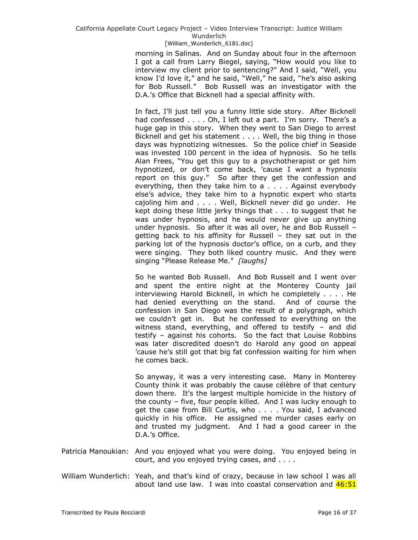morning in Salinas. And on Sunday about four in the afternoon I got a call from Larry Biegel, saying, "How would you like to interview my client prior to sentencing?" And I said, "Well, you know I'd love it," and he said, "Well," he said, "he's also asking for Bob Russell." Bob Russell was an investigator with the D.A.'s Office that Bicknell had a special affinity with.

In fact, I'll just tell you a funny little side story. After Bicknell had confessed . . . . Oh, I left out a part. I'm sorry. There's a huge gap in this story. When they went to San Diego to arrest Bicknell and get his statement . . . . Well, the big thing in those days was hypnotizing witnesses. So the police chief in Seaside was invested 100 percent in the idea of hypnosis. So he tells Alan Frees, "You get this guy to a psychotherapist or get him hypnotized, or don't come back, 'cause I want a hypnosis report on this guy." So after they get the confession and everything, then they take him to a . . . . Against everybody else's advice, they take him to a hypnotic expert who starts cajoling him and . . . . Well, Bicknell never did go under. He kept doing these little jerky things that . . . to suggest that he was under hypnosis, and he would never give up anything under hypnosis. So after it was all over, he and Bob Russell – getting back to his affinity for Russell – they sat out in the parking lot of the hypnosis doctor's office, on a curb, and they were singing. They both liked country music. And they were singing "Please Release Me." [laughs]

So he wanted Bob Russell. And Bob Russell and I went over and spent the entire night at the Monterey County jail interviewing Harold Bicknell, in which he completely . . . . He had denied everything on the stand. And of course the confession in San Diego was the result of a polygraph, which we couldn't get in. But he confessed to everything on the witness stand, everything, and offered to testify – and did testify – against his cohorts. So the fact that Louise Robbins was later discredited doesn't do Harold any good on appeal 'cause he's still got that big fat confession waiting for him when he comes back.

So anyway, it was a very interesting case. Many in Monterey County think it was probably the cause célèbre of that century down there. It's the largest multiple homicide in the history of the county – five, four people killed. And I was lucky enough to get the case from Bill Curtis, who . . . . You said, I advanced quickly in his office. He assigned me murder cases early on and trusted my judgment. And I had a good career in the D.A.'s Office.

- Patricia Manoukian: And you enjoyed what you were doing. You enjoyed being in court, and you enjoyed trying cases, and . . . .
- William Wunderlich: Yeah, and that's kind of crazy, because in law school I was all about land use law. I was into coastal conservation and  $46:51$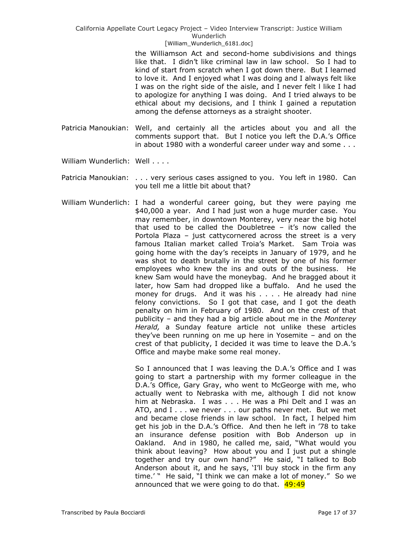the Williamson Act and second-home subdivisions and things like that. I didn't like criminal law in law school. So I had to kind of start from scratch when I got down there. But I learned to love it. And I enjoyed what I was doing and I always felt like I was on the right side of the aisle, and I never felt l like I had to apologize for anything I was doing. And I tried always to be ethical about my decisions, and I think I gained a reputation among the defense attorneys as a straight shooter.

- Patricia Manoukian: Well, and certainly all the articles about you and all the comments support that. But I notice you left the D.A.'s Office in about 1980 with a wonderful career under way and some . . .
- William Wunderlich: Well . . . .
- Patricia Manoukian: . . . very serious cases assigned to you. You left in 1980. Can you tell me a little bit about that?
- William Wunderlich: I had a wonderful career going, but they were paying me \$40,000 a year. And I had just won a huge murder case. You may remember, in downtown Monterey, very near the big hotel that used to be called the Doubletree – it's now called the Portola Plaza – just cattycornered across the street is a very famous Italian market called Troia's Market. Sam Troia was going home with the day's receipts in January of 1979, and he was shot to death brutally in the street by one of his former employees who knew the ins and outs of the business. He knew Sam would have the moneybag. And he bragged about it later, how Sam had dropped like a buffalo. And he used the money for drugs. And it was his . . . . He already had nine felony convictions. So I got that case, and I got the death penalty on him in February of 1980. And on the crest of that publicity – and they had a big article about me in the *Monterey Herald,* a Sunday feature article not unlike these articles they've been running on me up here in Yosemite – and on the crest of that publicity, I decided it was time to leave the D.A.'s Office and maybe make some real money.

So I announced that I was leaving the D.A.'s Office and I was going to start a partnership with my former colleague in the D.A.'s Office, Gary Gray, who went to McGeorge with me, who actually went to Nebraska with me, although I did not know him at Nebraska. I was . . . He was a Phi Delt and I was an ATO, and I . . . we never . . . our paths never met. But we met and became close friends in law school. In fact, I helped him get his job in the D.A.'s Office. And then he left in '78 to take an insurance defense position with Bob Anderson up in Oakland. And in 1980, he called me, said, "What would you think about leaving? How about you and I just put a shingle together and try our own hand?" He said, "I talked to Bob Anderson about it, and he says, 'I'll buy stock in the firm any time.' " He said, "I think we can make a lot of money." So we announced that we were going to do that.  $49:49$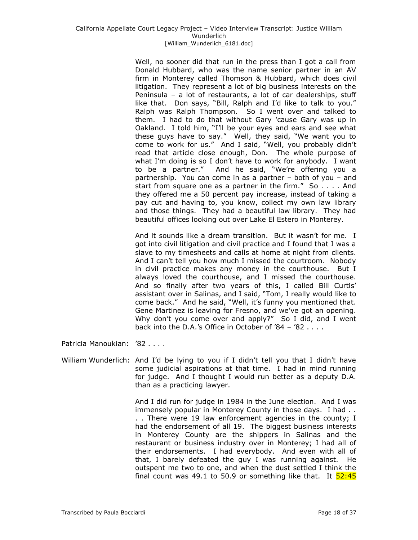Well, no sooner did that run in the press than I got a call from Donald Hubbard, who was the name senior partner in an AV firm in Monterey called Thomson & Hubbard, which does civil litigation. They represent a lot of big business interests on the Peninsula – a lot of restaurants, a lot of car dealerships, stuff like that. Don says, "Bill, Ralph and I'd like to talk to you." Ralph was Ralph Thompson. So I went over and talked to them. I had to do that without Gary 'cause Gary was up in Oakland. I told him, "I'll be your eyes and ears and see what these guys have to say." Well, they said, "We want you to come to work for us." And I said, "Well, you probably didn't read that article close enough, Don. The whole purpose of what I'm doing is so I don't have to work for anybody. I want to be a partner." And he said, "We're offering you a partnership. You can come in as a partner – both of you – and start from square one as a partner in the firm."  $So \ldots$ . And they offered me a 50 percent pay increase, instead of taking a pay cut and having to, you know, collect my own law library and those things. They had a beautiful law library. They had beautiful offices looking out over Lake El Estero in Monterey.

And it sounds like a dream transition. But it wasn't for me. I got into civil litigation and civil practice and I found that I was a slave to my timesheets and calls at home at night from clients. And I can't tell you how much I missed the courtroom. Nobody in civil practice makes any money in the courthouse. But I always loved the courthouse, and I missed the courthouse. And so finally after two years of this, I called Bill Curtis' assistant over in Salinas, and I said, "Tom, I really would like to come back." And he said, "Well, it's funny you mentioned that. Gene Martinez is leaving for Fresno, and we've got an opening. Why don't you come over and apply?" So I did, and I went back into the D.A.'s Office in October of '84 – '82 . . . .

Patricia Manoukian: '82 . . . .

William Wunderlich: And I'd be lying to you if I didn't tell you that I didn't have some judicial aspirations at that time. I had in mind running for judge. And I thought I would run better as a deputy D.A. than as a practicing lawyer.

> And I did run for judge in 1984 in the June election. And I was immensely popular in Monterey County in those days. I had . . . . There were 19 law enforcement agencies in the county; I had the endorsement of all 19. The biggest business interests in Monterey County are the shippers in Salinas and the restaurant or business industry over in Monterey; I had all of their endorsements. I had everybody. And even with all of that, I barely defeated the guy I was running against. He outspent me two to one, and when the dust settled I think the final count was 49.1 to 50.9 or something like that. It  $\frac{52:45}{2}$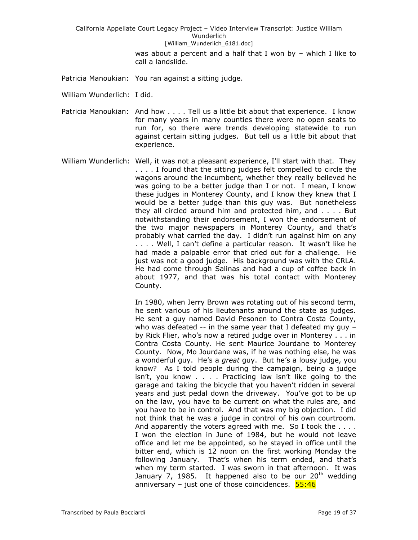> was about a percent and a half that I won by – which I like to call a landslide.

- Patricia Manoukian: You ran against a sitting judge.
- William Wunderlich: I did.
- Patricia Manoukian: And how . . . . Tell us a little bit about that experience. I know for many years in many counties there were no open seats to run for, so there were trends developing statewide to run against certain sitting judges. But tell us a little bit about that experience.
- William Wunderlich: Well, it was not a pleasant experience, I'll start with that. They . . . . I found that the sitting judges felt compelled to circle the wagons around the incumbent, whether they really believed he was going to be a better judge than I or not. I mean, I know these judges in Monterey County, and I know they knew that I would be a better judge than this guy was. But nonetheless they all circled around him and protected him, and . . . . But notwithstanding their endorsement, I won the endorsement of the two major newspapers in Monterey County, and that's probably what carried the day. I didn't run against him on any . . . . Well, I can't define a particular reason. It wasn't like he had made a palpable error that cried out for a challenge. He just was not a good judge. His background was with the CRLA. He had come through Salinas and had a cup of coffee back in about 1977, and that was his total contact with Monterey County.

In 1980, when Jerry Brown was rotating out of his second term, he sent various of his lieutenants around the state as judges. He sent a guy named David Pesonen to Contra Costa County, who was defeated  $-$  in the same year that I defeated my guy  $$ by Rick Flier, who's now a retired judge over in Monterey . . . in Contra Costa County. He sent Maurice Jourdane to Monterey County. Now, Mo Jourdane was, if he was nothing else, he was a wonderful guy. He's a *great* guy. But he's a lousy judge, you know? As I told people during the campaign, being a judge isn't, you know . . . . Practicing law isn't like going to the garage and taking the bicycle that you haven't ridden in several years and just pedal down the driveway. You've got to be up on the law, you have to be current on what the rules are, and you have to be in control. And that was my big objection. I did not think that he was a judge in control of his own courtroom. And apparently the voters agreed with me. So I took the . . . . I won the election in June of 1984, but he would not leave office and let me be appointed, so he stayed in office until the bitter end, which is 12 noon on the first working Monday the following January. That's when his term ended, and that's when my term started. I was sworn in that afternoon. It was January 7, 1985. It happened also to be our  $20<sup>th</sup>$  wedding anniversary – just one of those coincidences.  $55:46$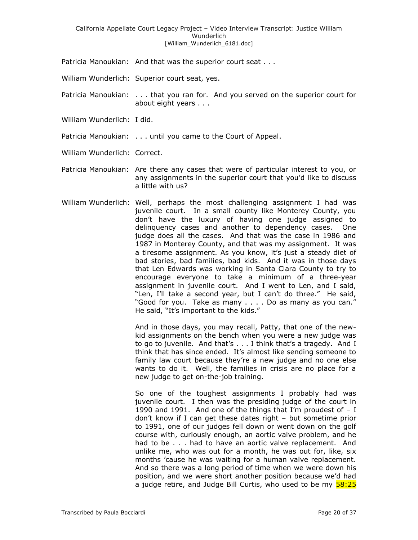Patricia Manoukian: And that was the superior court seat . . .

William Wunderlich: Superior court seat, yes.

- Patricia Manoukian: . . . that you ran for. And you served on the superior court for about eight years . . .
- William Wunderlich: I did.
- Patricia Manoukian: . . . until you came to the Court of Appeal.
- William Wunderlich: Correct.
- Patricia Manoukian: Are there any cases that were of particular interest to you, or any assignments in the superior court that you'd like to discuss a little with us?
- William Wunderlich: Well, perhaps the most challenging assignment I had was juvenile court. In a small county like Monterey County, you don't have the luxury of having one judge assigned to delinquency cases and another to dependency cases. One judge does all the cases. And that was the case in 1986 and 1987 in Monterey County, and that was my assignment. It was a tiresome assignment. As you know, it's just a steady diet of bad stories, bad families, bad kids. And it was in those days that Len Edwards was working in Santa Clara County to try to encourage everyone to take a minimum of a three-year assignment in juvenile court. And I went to Len, and I said, "Len, I'll take a second year, but I can't do three." He said, "Good for you. Take as many . . . . Do as many as you can." He said, "It's important to the kids."

And in those days, you may recall, Patty, that one of the newkid assignments on the bench when you were a new judge was to go to juvenile. And that's . . . I think that's a tragedy. And I think that has since ended. It's almost like sending someone to family law court because they're a new judge and no one else wants to do it. Well, the families in crisis are no place for a new judge to get on-the-job training.

So one of the toughest assignments I probably had was juvenile court. I then was the presiding judge of the court in 1990 and 1991. And one of the things that I'm proudest of  $- I$ don't know if I can get these dates right – but sometime prior to 1991, one of our judges fell down or went down on the golf course with, curiously enough, an aortic valve problem, and he had to be . . . had to have an aortic valve replacement. And unlike me, who was out for a month, he was out for, like, six months 'cause he was waiting for a human valve replacement. And so there was a long period of time when we were down his position, and we were short another position because we'd had a judge retire, and Judge Bill Curtis, who used to be my  $58:25$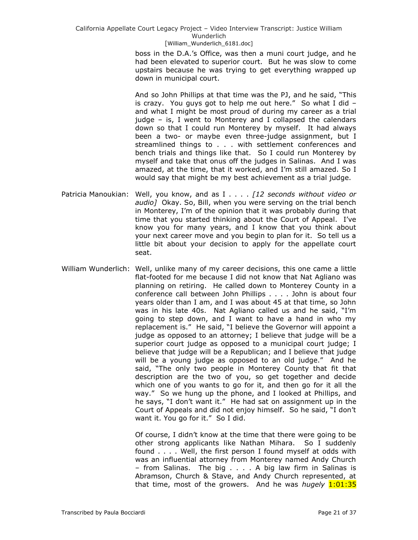> boss in the D.A.'s Office, was then a muni court judge, and he had been elevated to superior court. But he was slow to come upstairs because he was trying to get everything wrapped up down in municipal court.

> And so John Phillips at that time was the PJ, and he said, "This is crazy. You guys got to help me out here." So what I did  $$ and what I might be most proud of during my career as a trial judge – is, I went to Monterey and I collapsed the calendars down so that I could run Monterey by myself. It had always been a two- or maybe even three-judge assignment, but I streamlined things to . . . with settlement conferences and bench trials and things like that. So I could run Monterey by myself and take that onus off the judges in Salinas. And I was amazed, at the time, that it worked, and I'm still amazed. So I would say that might be my best achievement as a trial judge.

- Patricia Manoukian: Well, you know, and as I . . . . *[12 seconds without video or audio]* Okay. So, Bill, when you were serving on the trial bench in Monterey, I'm of the opinion that it was probably during that time that you started thinking about the Court of Appeal. I've know you for many years, and I know that you think about your next career move and you begin to plan for it. So tell us a little bit about your decision to apply for the appellate court seat.
- William Wunderlich: Well, unlike many of my career decisions, this one came a little flat-footed for me because I did not know that Nat Agliano was planning on retiring. He called down to Monterey County in a conference call between John Phillips . . . . John is about four years older than I am, and I was about 45 at that time, so John was in his late 40s. Nat Agliano called us and he said, "I'm going to step down, and I want to have a hand in who my replacement is." He said, "I believe the Governor will appoint a judge as opposed to an attorney; I believe that judge will be a superior court judge as opposed to a municipal court judge; I believe that judge will be a Republican; and I believe that judge will be a young judge as opposed to an old judge." And he said, "The only two people in Monterey County that fit that description are the two of you, so get together and decide which one of you wants to go for it, and then go for it all the way." So we hung up the phone, and I looked at Phillips, and he says, "I don't want it." He had sat on assignment up in the Court of Appeals and did not enjoy himself. So he said, "I don't want it. You go for it." So I did.

Of course, I didn't know at the time that there were going to be other strong applicants like Nathan Mihara. So I suddenly found . . . . Well, the first person I found myself at odds with was an influential attorney from Monterey named Andy Church – from Salinas. The big . . . . A big law firm in Salinas is Abramson, Church & Stave, and Andy Church represented, at that time, most of the growers. And he was *hugely* 1:01:35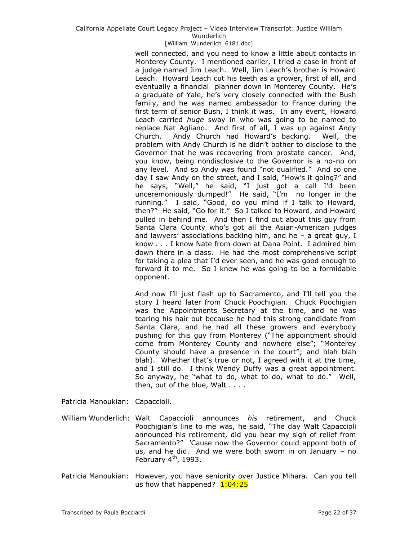## California Appellate Court Legacy Project – Video Interview Transcript: Justice William Wunderlich

#### [William\_Wunderlich\_6181.doc]

well connected, and you need to know a little about contacts in Monterey County. I mentioned earlier, I tried a case in front of a judge named Jim Leach. Well, Jim Leach's brother is Howard Leach. Howard Leach cut his teeth as a grower, first of all, and eventually a financial planner down in Monterey County. He's a graduate of Yale, he's very closely connected with the Bush family, and he was named ambassador to France during the first term of senior Bush, I think it was. In any event, Howard Leach carried *huge* sway in who was going to be named to replace Nat Agliano. And first of all, I was up against Andy Church. Andy Church had Howard's backing. Well, the problem with Andy Church is he didn't bother to disclose to the Governor that he was recovering from prostate cancer. And, you know, being nondisclosive to the Governor is a no-no on any level. And so Andy was found "not qualified." And so one day I saw Andy on the street, and I said, "How's it going?" and he says, "Well," he said, "I just got a call I'd been unceremoniously dumped!" He said, "I'm no longer in the running." I said, "Good, do you mind if I talk to Howard, then?" He said, "Go for it." So I talked to Howard, and Howard pulled in behind me. And then I find out about this guy from Santa Clara County who's got all the Asian-American judges and lawyers' associations backing him, and he  $-$  a great guy, I know . . . I know Nate from down at Dana Point. I admired him down there in a class. He had the most comprehensive script for taking a plea that I'd ever seen, and he was good enough to forward it to me. So I knew he was going to be a formidable opponent.

And now I'll just flash up to Sacramento, and I'll tell you the story I heard later from Chuck Poochigian. Chuck Poochigian was the Appointments Secretary at the time, and he was tearing his hair out because he had this strong candidate from Santa Clara, and he had all these growers and everybody pushing for this guy from Monterey ("The appointment should come from Monterey County and nowhere else"; "Monterey County should have a presence in the court"; and blah blah blah). Whether that's true or not, I agreed with it at the time, and I still do. I think Wendy Duffy was a great appointment. So anyway, he "what to do, what to do, what to do." Well, then, out of the blue, Walt . . . .

Patricia Manoukian: Capaccioli.

William Wunderlich: Walt Capaccioli announces *his* retirement, and Chuck Poochigian's line to me was, he said, "The day Walt Capaccioli announced his retirement, did you hear my sigh of relief from Sacramento?" 'Cause now the Governor could appoint both of us, and he did. And we were both sworn in on January – no February  $4<sup>th</sup>$ , 1993.

Patricia Manoukian: However, you have seniority over Justice Mihara. Can you tell us how that happened?  $1:04:25$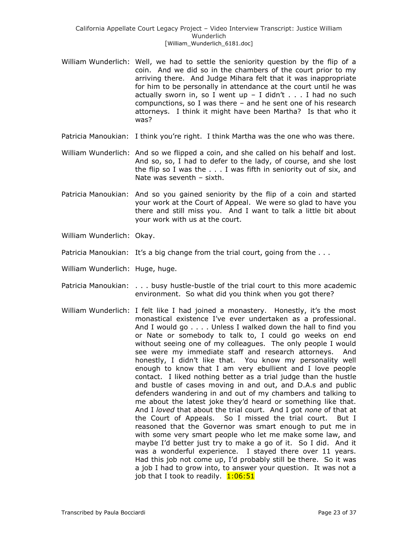- William Wunderlich: Well, we had to settle the seniority question by the flip of a coin. And we did so in the chambers of the court prior to my arriving there. And Judge Mihara felt that it was inappropriate for him to be personally in attendance at the court until he was actually sworn in, so I went up  $-$  I didn't . . . I had no such compunctions, so I was there – and he sent one of his research attorneys. I think it might have been Martha? Is that who it was?
- Patricia Manoukian: I think you're right. I think Martha was the one who was there.
- William Wunderlich: And so we flipped a coin, and she called on his behalf and lost. And so, so, I had to defer to the lady, of course, and she lost the flip so I was the . . . I was fifth in seniority out of six, and Nate was seventh – sixth.
- Patricia Manoukian: And so you gained seniority by the flip of a coin and started your work at the Court of Appeal. We were so glad to have you there and still miss you. And I want to talk a little bit about your work with us at the court.
- William Wunderlich: Okay.
- Patricia Manoukian: It's a big change from the trial court, going from the ...
- William Wunderlich: Huge, huge.
- Patricia Manoukian: . . . busy hustle-bustle of the trial court to this more academic environment. So what did you think when you got there?
- William Wunderlich: I felt like I had joined a monastery. Honestly, it's the most monastical existence I've ever undertaken as a professional. And I would go . . . . Unless I walked down the hall to find you or Nate or somebody to talk to, I could go weeks on end without seeing one of my colleagues. The only people I would see were my immediate staff and research attorneys. And honestly, I didn't like that. You know my personality well enough to know that I am very ebullient and I love people contact. I liked nothing better as a trial judge than the hustle and bustle of cases moving in and out, and D.A.s and public defenders wandering in and out of my chambers and talking to me about the latest joke they'd heard or something like that. And I *loved* that about the trial court. And I got *none* of that at the Court of Appeals. So I missed the trial court. But I reasoned that the Governor was smart enough to put me in with some very smart people who let me make some law, and maybe I'd better just try to make a go of it. So I did. And it was a wonderful experience. I stayed there over 11 years. Had this job not come up, I'd probably still be there. So it was a job I had to grow into, to answer your question. It was not a job that I took to readily. 1:06:51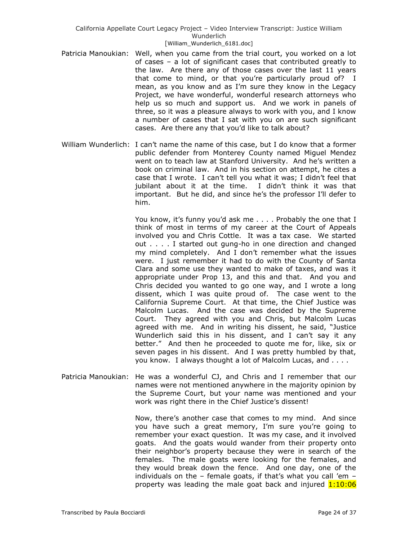- Patricia Manoukian: Well, when you came from the trial court, you worked on a lot of cases – a lot of significant cases that contributed greatly to the law. Are there any of those cases over the last 11 years that come to mind, or that you're particularly proud of? I mean, as you know and as I'm sure they know in the Legacy Project, we have wonderful, wonderful research attorneys who help us so much and support us. And we work in panels of three, so it was a pleasure always to work with you, and I know a number of cases that I sat with you on are such significant cases. Are there any that you'd like to talk about?
- William Wunderlich: I can't name the name of this case, but I do know that a former public defender from Monterey County named Miguel Mendez went on to teach law at Stanford University. And he's written a book on criminal law. And in his section on attempt, he cites a case that I wrote. I can't tell you what it was; I didn't feel that jubilant about it at the time. I didn't think it was that important. But he did, and since he's the professor I'll defer to him.

You know, it's funny you'd ask me . . . . Probably the one that I think of most in terms of my career at the Court of Appeals involved you and Chris Cottle. It was a tax case. We started out . . . . I started out gung-ho in one direction and changed my mind completely. And I don't remember what the issues were. I just remember it had to do with the County of Santa Clara and some use they wanted to make of taxes, and was it appropriate under Prop 13, and this and that. And you and Chris decided you wanted to go one way, and I wrote a long dissent, which I was quite proud of. The case went to the California Supreme Court. At that time, the Chief Justice was Malcolm Lucas. And the case was decided by the Supreme Court. They agreed with you and Chris, but Malcolm Lucas agreed with me. And in writing his dissent, he said, "Justice Wunderlich said this in his dissent, and I can't say it any better.‖ And then he proceeded to quote me for, like, six or seven pages in his dissent. And I was pretty humbled by that, you know. I always thought a lot of Malcolm Lucas, and . . . .

Patricia Manoukian: He was a wonderful CJ, and Chris and I remember that our names were not mentioned anywhere in the majority opinion by the Supreme Court, but your name was mentioned and your work was right there in the Chief Justice's dissent!

> Now, there's another case that comes to my mind. And since you have such a great memory, I'm sure you're going to remember your exact question. It was my case, and it involved goats. And the goats would wander from their property onto their neighbor's property because they were in search of the females. The male goats were looking for the females, and they would break down the fence. And one day, one of the individuals on the – female goats, if that's what you call 'em – property was leading the male goat back and injured  $1:10:06$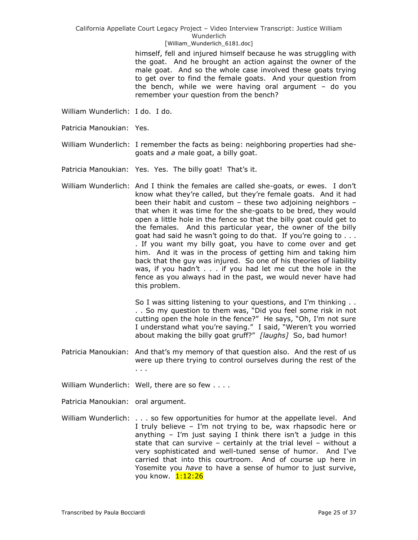California Appellate Court Legacy Project – Video Interview Transcript: Justice William Wunderlich

#### [William\_Wunderlich\_6181.doc]

himself, fell and injured himself because he was struggling with the goat. And he brought an action against the owner of the male goat. And so the whole case involved these goats trying to get over to find the female goats. And your question from the bench, while we were having oral argument – do you remember your question from the bench?

- William Wunderlich: I do. I do.
- Patricia Manoukian: Yes.
- William Wunderlich: I remember the facts as being: neighboring properties had shegoats and *a* male goat, a billy goat.
- Patricia Manoukian: Yes. Yes. The billy goat! That's it.
- William Wunderlich: And I think the females are called she-goats, or ewes. I don't know what they're called, but they're female goats. And it had been their habit and custom – these two adjoining neighbors – that when it was time for the she-goats to be bred, they would open a little hole in the fence so that the billy goat could get to the females. And this particular year, the owner of the billy goat had said he wasn't going to do that. If you're going to . . . . If you want my billy goat, you have to come over and get him. And it was in the process of getting him and taking him back that the guy was injured. So one of his theories of liability was, if you hadn't . . . if you had let me cut the hole in the fence as you always had in the past, we would never have had this problem.

So I was sitting listening to your questions, and I'm thinking . . .. So my question to them was, "Did you feel some risk in not cutting open the hole in the fence?" He says, "Oh, I'm not sure I understand what you're saying." I said, "Weren't you worried about making the billy goat gruff?" [laughs] So, bad humor!

- Patricia Manoukian: And that's my memory of that question also. And the rest of us were up there trying to control ourselves during the rest of the . . .
- William Wunderlich: Well, there are so few . . . .
- Patricia Manoukian: oral argument.
- William Wunderlich: . . . so few opportunities for humor at the appellate level. And I truly believe – I'm not trying to be, wax rhapsodic here or anything  $-$  I'm just saying I think there isn't a judge in this state that can survive – certainly at the trial level – without a very sophisticated and well-tuned sense of humor. And I've carried that into this courtroom. And of course up here in Yosemite you *have* to have a sense of humor to just survive, you know. 1:12:26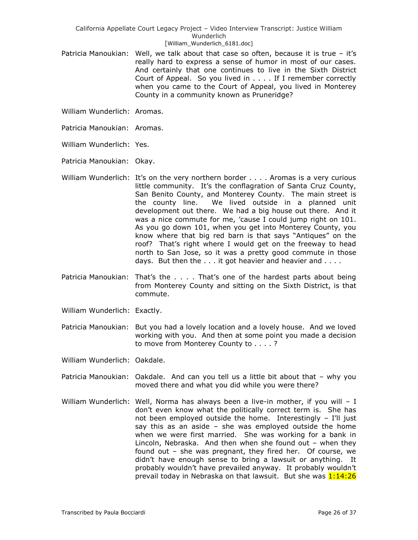- Patricia Manoukian: Well, we talk about that case so often, because it is true it's really hard to express a sense of humor in most of our cases. And certainly that one continues to live in the Sixth District Court of Appeal. So you lived in . . . . If I remember correctly when you came to the Court of Appeal, you lived in Monterey County in a community known as Pruneridge?
- William Wunderlich: Aromas.
- Patricia Manoukian: Aromas.
- William Wunderlich: Yes.
- Patricia Manoukian: Okay.
- William Wunderlich: It's on the very northern border . . . . Aromas is a very curious little community. It's the conflagration of Santa Cruz County, San Benito County, and Monterey County. The main street is the county line. We lived outside in a planned unit development out there. We had a big house out there. And it was a nice commute for me, 'cause I could jump right on 101. As you go down 101, when you get into Monterey County, you know where that big red barn is that says "Antiques" on the roof? That's right where I would get on the freeway to head north to San Jose, so it was a pretty good commute in those days. But then the . . . it got heavier and heavier and . . . .
- Patricia Manoukian: That's the . . . . That's one of the hardest parts about being from Monterey County and sitting on the Sixth District, is that commute.
- William Wunderlich: Exactly.
- Patricia Manoukian: But you had a lovely location and a lovely house. And we loved working with you. And then at some point you made a decision to move from Monterey County to . . . . ?
- William Wunderlich: Oakdale.
- Patricia Manoukian: Oakdale. And can you tell us a little bit about that why you moved there and what you did while you were there?
- William Wunderlich: Well, Norma has always been a live-in mother, if you will I don't even know what the politically correct term is. She has not been employed outside the home. Interestingly – I'll just say this as an aside – she was employed outside the home when we were first married. She was working for a bank in Lincoln, Nebraska. And then when she found out – when they found out – she was pregnant, they fired her. Of course, we didn't have enough sense to bring a lawsuit or anything. It probably wouldn't have prevailed anyway. It probably wouldn't prevail today in Nebraska on that lawsuit. But she was 1:14:26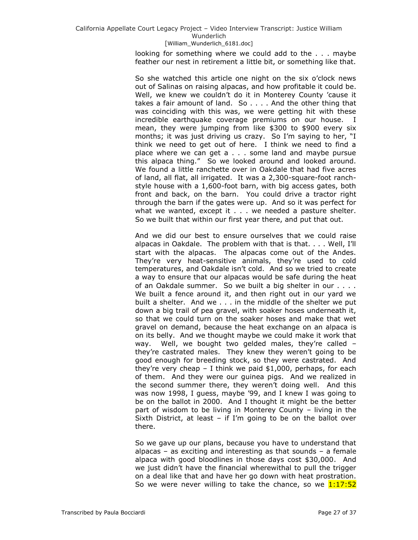looking for something where we could add to the . . . maybe feather our nest in retirement a little bit, or something like that.

So she watched this article one night on the six o'clock news out of Salinas on raising alpacas, and how profitable it could be. Well, we knew we couldn't do it in Monterey County 'cause it takes a fair amount of land. So . . . . And the other thing that was coinciding with this was, we were getting hit with these incredible earthquake coverage premiums on our house. I mean, they were jumping from like \$300 to \$900 every six months; it was just driving us crazy. So I'm saying to her, "I think we need to get out of here. I think we need to find a place where we can get a . . . some land and maybe pursue this alpaca thing.‖ So we looked around and looked around. We found a little ranchette over in Oakdale that had five acres of land, all flat, all irrigated. It was a 2,300-square-foot ranchstyle house with a 1,600-foot barn, with big access gates, both front and back, on the barn. You could drive a tractor right through the barn if the gates were up. And so it was perfect for what we wanted, except it . . . we needed a pasture shelter. So we built that within our first year there, and put that out.

And we did our best to ensure ourselves that we could raise alpacas in Oakdale. The problem with that is that. . . . Well, I'll start with the alpacas. The alpacas come out of the Andes. They're very heat-sensitive animals, they're used to cold temperatures, and Oakdale isn't cold. And so we tried to create a way to ensure that our alpacas would be safe during the heat of an Oakdale summer. So we built a big shelter in our . . . . We built a fence around it, and then right out in our yard we built a shelter. And we . . . in the middle of the shelter we put down a big trail of pea gravel, with soaker hoses underneath it, so that we could turn on the soaker hoses and make that wet gravel on demand, because the heat exchange on an alpaca is on its belly. And we thought maybe we could make it work that way. Well, we bought two gelded males, they're called – they're castrated males. They knew they weren't going to be good enough for breeding stock, so they were castrated. And they're very cheap – I think we paid \$1,000, perhaps, for each of them. And they were our guinea pigs. And we realized in the second summer there, they weren't doing well. And this was now 1998, I guess, maybe '99, and I knew I was going to be on the ballot in 2000. And I thought it might be the better part of wisdom to be living in Monterey County – living in the Sixth District, at least – if I'm going to be on the ballot over there.

So we gave up our plans, because you have to understand that alpacas – as exciting and interesting as that sounds – a female alpaca with good bloodlines in those days cost \$30,000. And we just didn't have the financial wherewithal to pull the trigger on a deal like that and have her go down with heat prostration. So we were never willing to take the chance, so we  $1:17:52$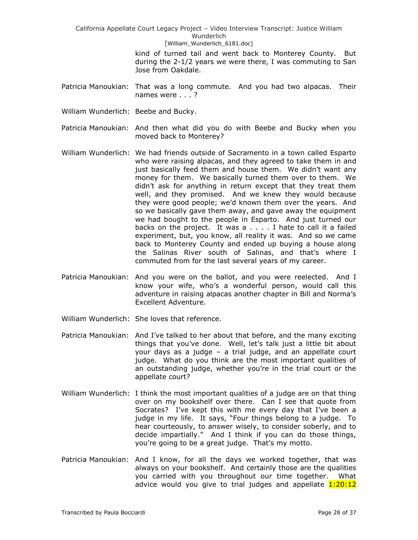> kind of turned tail and went back to Monterey County. But during the 2-1/2 years we were there, I was commuting to San Jose from Oakdale.

- Patricia Manoukian: That was a long commute. And you had two alpacas. Their names were . . . ?
- William Wunderlich: Beebe and Bucky.
- Patricia Manoukian: And then what did you do with Beebe and Bucky when you moved back to Monterey?
- William Wunderlich: We had friends outside of Sacramento in a town called Esparto who were raising alpacas, and they agreed to take them in and just basically feed them and house them. We didn't want any money for them. We basically turned them over to them. We didn't ask for anything in return except that they treat them well, and they promised. And we knew they would because they were good people; we'd known them over the years. And so we basically gave them away, and gave away the equipment we had bought to the people in Esparto. And just turned our backs on the project. It was a . . . . I hate to call it a failed experiment, but, you know, all reality it was. And so we came back to Monterey County and ended up buying a house along the Salinas River south of Salinas, and that's where I commuted from for the last several years of my career.
- Patricia Manoukian: And you were on the ballot, and you were reelected. And I know your wife, who's a wonderful person, would call this adventure in raising alpacas another chapter in Bill and Norma's Excellent Adventure.
- William Wunderlich: She loves that reference.
- Patricia Manoukian: And I've talked to her about that before, and the many exciting things that you've done. Well, let's talk just a little bit about your days as a judge – a trial judge, and an appellate court judge. What do you think are the most important qualities of an outstanding judge, whether you're in the trial court or the appellate court?
- William Wunderlich: I think the most important qualities of a judge are on that thing over on my bookshelf over there. Can I see that quote from Socrates? I've kept this with me every day that I've been a judge in my life. It says, "Four things belong to a judge. To hear courteously, to answer wisely, to consider soberly, and to decide impartially." And I think if you can do those things, you're going to be a great judge. That's my motto.
- Patricia Manoukian: And I know, for all the days we worked together, that was always on your bookshelf. And certainly those are the qualities you carried with you throughout our time together. What advice would you give to trial judges and appellate  $1:20:12$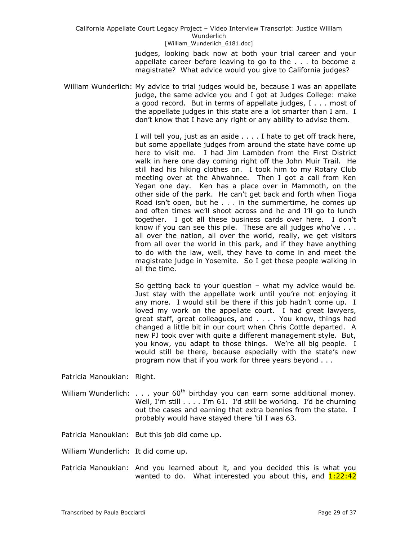judges, looking back now at both your trial career and your appellate career before leaving to go to the . . . to become a magistrate? What advice would you give to California judges?

William Wunderlich: My advice to trial judges would be, because I was an appellate judge, the same advice you and I got at Judges College: make a good record. But in terms of appellate judges, I . . . most of the appellate judges in this state are a lot smarter than I am. I don't know that I have any right or any ability to advise them.

> I will tell you, just as an aside . . . . I hate to get off track here, but some appellate judges from around the state have come up here to visit me. I had Jim Lambden from the First District walk in here one day coming right off the John Muir Trail. He still had his hiking clothes on. I took him to my Rotary Club meeting over at the Ahwahnee. Then I got a call from Ken Yegan one day. Ken has a place over in Mammoth, on the other side of the park. He can't get back and forth when Tioga Road isn't open, but he . . . in the summertime, he comes up and often times we'll shoot across and he and I'll go to lunch together. I got all these business cards over here. I don't know if you can see this pile. These are all judges who've . . . all over the nation, all over the world, really, we get visitors from all over the world in this park, and if they have anything to do with the law, well, they have to come in and meet the magistrate judge in Yosemite. So I get these people walking in all the time.

> So getting back to your question – what my advice would be. Just stay with the appellate work until you're not enjoying it any more. I would still be there if this job hadn't come up. I loved my work on the appellate court. I had great lawyers, great staff, great colleagues, and . . . . You know, things had changed a little bit in our court when Chris Cottle departed. A new PJ took over with quite a different management style. But, you know, you adapt to those things. We're all big people. I would still be there, because especially with the state's new program now that if you work for three years beyond . . .

Patricia Manoukian: Right.

William Wunderlich: . . . your  $60<sup>th</sup>$  birthday you can earn some additional money. Well, I'm still . . . . I'm 61. I'd still be working. I'd be churning out the cases and earning that extra bennies from the state. I probably would have stayed there 'til I was 63.

Patricia Manoukian: But this job did come up.

William Wunderlich: It did come up.

Patricia Manoukian: And you learned about it, and you decided this is what you wanted to do. What interested you about this, and  $1:22:42$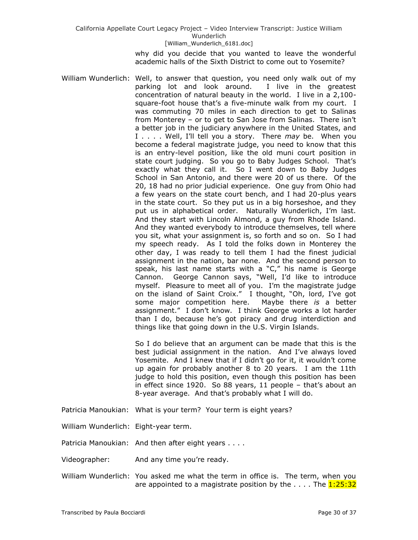why did you decide that you wanted to leave the wonderful academic halls of the Sixth District to come out to Yosemite?

William Wunderlich: Well, to answer that question, you need only walk out of my parking lot and look around. I live in the greatest concentration of natural beauty in the world. I live in a 2,100 square-foot house that's a five-minute walk from my court. I was commuting 70 miles in each direction to get to Salinas from Monterey – or to get to San Jose from Salinas. There isn't a better job in the judiciary anywhere in the United States, and I . . . . Well, I'll tell you a story. There *may* be. When you become a federal magistrate judge, you need to know that this is an entry-level position, like the old muni court position in state court judging. So you go to Baby Judges School. That's exactly what they call it. So I went down to Baby Judges School in San Antonio, and there were 20 of us there. Of the 20, 18 had no prior judicial experience. One guy from Ohio had a few years on the state court bench, and I had 20-plus years in the state court. So they put us in a big horseshoe, and they put us in alphabetical order. Naturally Wunderlich, I'm last. And they start with Lincoln Almond, a guy from Rhode Island. And they wanted everybody to introduce themselves, tell where you sit, what your assignment is, so forth and so on. So I had my speech ready. As I told the folks down in Monterey the other day, I was ready to tell them I had the finest judicial assignment in the nation, bar none. And the second person to speak, his last name starts with a "C," his name is George Cannon. George Cannon says, "Well, I'd like to introduce myself. Pleasure to meet all of you. I'm the magistrate judge on the island of Saint Croix." I thought, "Oh, lord, I've got some major competition here. Maybe there *is* a better assignment." I don't know. I think George works a lot harder than I do, because he's got piracy and drug interdiction and things like that going down in the U.S. Virgin Islands.

> So I do believe that an argument can be made that this is the best judicial assignment in the nation. And I've always loved Yosemite. And I knew that if I didn't go for it, it wouldn't come up again for probably another 8 to 20 years. I am the 11th judge to hold this position, even though this position has been in effect since 1920. So 88 years, 11 people – that's about an 8-year average. And that's probably what I will do.

Patricia Manoukian: What is your term? Your term is eight years?

William Wunderlich: Eight-year term.

Patricia Manoukian: And then after eight years . . . .

Videographer: And any time you're ready.

William Wunderlich: You asked me what the term in office is. The term, when you are appointed to a magistrate position by the  $\dots$ . The  $1:25:32$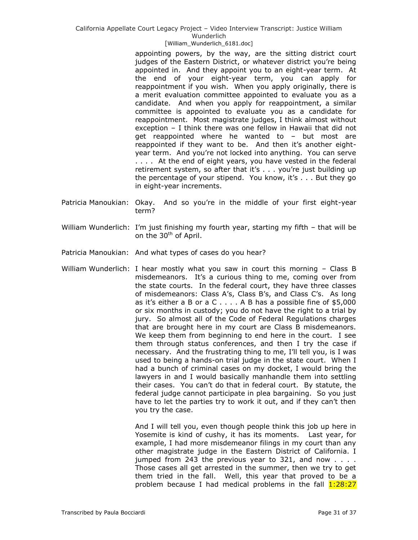California Appellate Court Legacy Project – Video Interview Transcript: Justice William Wunderlich

#### [William\_Wunderlich\_6181.doc]

appointing powers, by the way, are the sitting district court judges of the Eastern District, or whatever district you're being appointed in. And they appoint you to an eight-year term. At the end of your eight-year term, you can apply for reappointment if you wish. When you apply originally, there is a merit evaluation committee appointed to evaluate you as a candidate. And when you apply for reappointment, a similar committee is appointed to evaluate you as a candidate for reappointment. Most magistrate judges, I think almost without exception – I think there was one fellow in Hawaii that did not get reappointed where he wanted to – but most are reappointed if they want to be. And then it's another eightyear term. And you're not locked into anything. You can serve .... At the end of eight years, you have vested in the federal retirement system, so after that it's . . . you're just building up the percentage of your stipend. You know, it's . . . But they go in eight-year increments.

- Patricia Manoukian: Okay. And so you're in the middle of your first eight-year term?
- William Wunderlich: I'm just finishing my fourth year, starting my fifth that will be on the  $30<sup>th</sup>$  of April.
- Patricia Manoukian: And what types of cases do you hear?
- William Wunderlich: I hear mostly what you saw in court this morning Class B misdemeanors. It's a curious thing to me, coming over from the state courts. In the federal court, they have three classes of misdemeanors: Class A's, Class B's, and Class C's. As long as it's either a B or a C  $\ldots$  . A B has a possible fine of \$5,000 or six months in custody; you do not have the right to a trial by jury. So almost all of the Code of Federal Regulations charges that are brought here in my court are Class B misdemeanors. We keep them from beginning to end here in the court. I see them through status conferences, and then I try the case if necessary. And the frustrating thing to me, I'll tell you, is I was used to being a hands-on trial judge in the state court. When I had a bunch of criminal cases on my docket, I would bring the lawyers in and I would basically manhandle them into settling their cases. You can't do that in federal court. By statute, the federal judge cannot participate in plea bargaining. So you just have to let the parties try to work it out, and if they can't then you try the case.

And I will tell you, even though people think this job up here in Yosemite is kind of cushy, it has its moments. Last year, for example, I had more misdemeanor filings in my court than any other magistrate judge in the Eastern District of California. I jumped from 243 the previous year to 321, and now . . . . Those cases all get arrested in the summer, then we try to get them tried in the fall. Well, this year that proved to be a problem because I had medical problems in the fall  $1:28:27$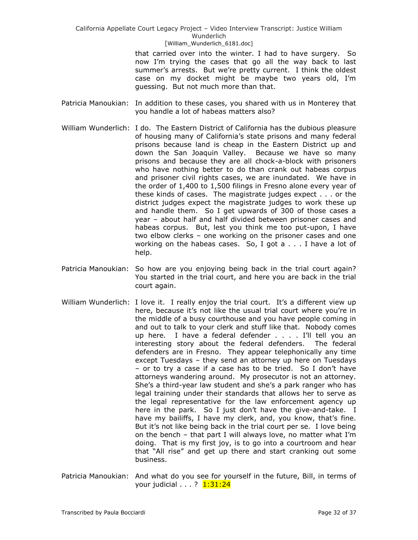> that carried over into the winter. I had to have surgery. So now I'm trying the cases that go all the way back to last summer's arrests. But we're pretty current. I think the oldest case on my docket might be maybe two years old, I'm guessing. But not much more than that.

- Patricia Manoukian: In addition to these cases, you shared with us in Monterey that you handle a lot of habeas matters also?
- William Wunderlich: I do. The Eastern District of California has the dubious pleasure of housing many of California's state prisons and many federal prisons because land is cheap in the Eastern District up and down the San Joaquin Valley. Because we have so many prisons and because they are all chock-a-block with prisoners who have nothing better to do than crank out habeas corpus and prisoner civil rights cases, we are inundated. We have in the order of 1,400 to 1,500 filings in Fresno alone every year of these kinds of cases. The magistrate judges expect . . . or the district judges expect the magistrate judges to work these up and handle them. So I get upwards of 300 of those cases a year – about half and half divided between prisoner cases and habeas corpus. But, lest you think me too put-upon, I have two elbow clerks – one working on the prisoner cases and one working on the habeas cases. So, I got a . . . I have a lot of help.
- Patricia Manoukian: So how are you enjoying being back in the trial court again? You started in the trial court, and here you are back in the trial court again.
- William Wunderlich: I love it. I really enjoy the trial court. It's a different view up here, because it's not like the usual trial court where you're in the middle of a busy courthouse and you have people coming in and out to talk to your clerk and stuff like that. Nobody comes up here. I have a federal defender . . . . I'll tell you an interesting story about the federal defenders. The federal defenders are in Fresno. They appear telephonically any time except Tuesdays – they send an attorney up here on Tuesdays – or to try a case if a case has to be tried. So I don't have attorneys wandering around. My prosecutor is not an attorney. She's a third-year law student and she's a park ranger who has legal training under their standards that allows her to serve as the legal representative for the law enforcement agency up here in the park. So I just don't have the give-and-take. I have my bailiffs, I have my clerk, and, you know, that's fine. But it's not like being back in the trial court per se. I love being on the bench – that part I will always love, no matter what I'm doing. That is my first joy, is to go into a courtroom and hear that "All rise" and get up there and start cranking out some business.
- Patricia Manoukian: And what do you see for yourself in the future, Bill, in terms of your judicial . . . ? 1:31:24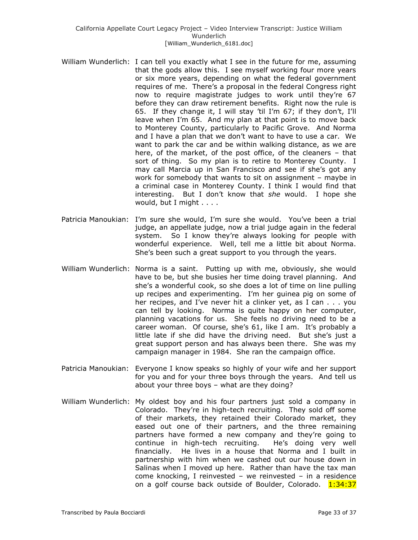- William Wunderlich: I can tell you exactly what I see in the future for me, assuming that the gods allow this. I see myself working four more years or six more years, depending on what the federal government requires of me. There's a proposal in the federal Congress right now to require magistrate judges to work until they're 67 before they can draw retirement benefits. Right now the rule is 65. If they change it, I will stay 'til I'm 67; if they don't, I'll leave when I'm 65. And my plan at that point is to move back to Monterey County, particularly to Pacific Grove. And Norma and I have a plan that we don't want to have to use a car. We want to park the car and be within walking distance, as we are here, of the market, of the post office, of the cleaners – that sort of thing. So my plan is to retire to Monterey County. I may call Marcia up in San Francisco and see if she's got any work for somebody that wants to sit on assignment – maybe in a criminal case in Monterey County. I think I would find that interesting. But I don't know that *she* would. I hope she would, but I might . . . .
- Patricia Manoukian: I'm sure she would, I'm sure she would. You've been a trial judge, an appellate judge, now a trial judge again in the federal system. So I know they're always looking for people with wonderful experience. Well, tell me a little bit about Norma. She's been such a great support to you through the years.
- William Wunderlich: Norma is a saint. Putting up with me, obviously, she would have to be, but she busies her time doing travel planning. And she's a wonderful cook, so she does a lot of time on line pulling up recipes and experimenting. I'm her guinea pig on some of her recipes, and I've never hit a clinker yet, as I can . . . you can tell by looking. Norma is quite happy on her computer, planning vacations for us. She feels no driving need to be a career woman. Of course, she's 61, like I am. It's probably a little late if she did have the driving need. But she's just a great support person and has always been there. She was my campaign manager in 1984. She ran the campaign office.
- Patricia Manoukian: Everyone I know speaks so highly of your wife and her support for you and for your three boys through the years. And tell us about your three boys – what are they doing?
- William Wunderlich: My oldest boy and his four partners just sold a company in Colorado. They're in high-tech recruiting. They sold off some of their markets, they retained their Colorado market, they eased out one of their partners, and the three remaining partners have formed a new company and they're going to continue in high-tech recruiting. He's doing very well financially. He lives in a house that Norma and I built in partnership with him when we cashed out our house down in Salinas when I moved up here. Rather than have the tax man come knocking, I reinvested – we reinvested – in a residence on a golf course back outside of Boulder, Colorado. 1:34:37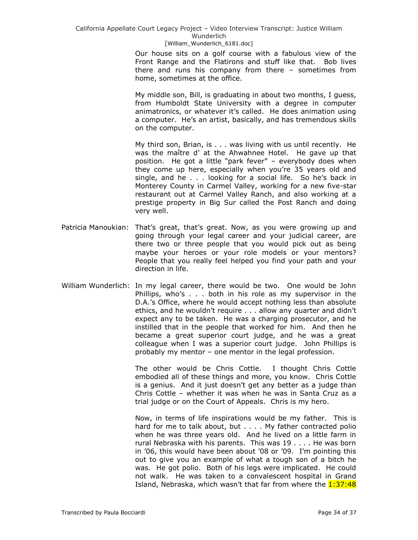> Our house sits on a golf course with a fabulous view of the Front Range and the Flatirons and stuff like that. Bob lives there and runs his company from there – sometimes from home, sometimes at the office.

> My middle son, Bill, is graduating in about two months, I guess, from Humboldt State University with a degree in computer animatronics, or whatever it's called. He does animation using a computer. He's an artist, basically, and has tremendous skills on the computer.

> My third son, Brian, is . . . was living with us until recently. He was the maître d' at the Ahwahnee Hotel. He gave up that position. He got a little "park fever" - everybody does when they come up here, especially when you're 35 years old and single, and he . . . looking for a social life. So he's back in Monterey County in Carmel Valley, working for a new five-star restaurant out at Carmel Valley Ranch, and also working at a prestige property in Big Sur called the Post Ranch and doing very well.

- Patricia Manoukian: That's great, that's great. Now, as you were growing up and going through your legal career and your judicial career, are there two or three people that you would pick out as being maybe your heroes or your role models or your mentors? People that you really feel helped you find your path and your direction in life.
- William Wunderlich: In my legal career, there would be two. One would be John Phillips, who's . . . both in his role as my supervisor in the D.A.'s Office, where he would accept nothing less than absolute ethics, and he wouldn't require . . . allow any quarter and didn't expect any to be taken. He was a charging prosecutor, and he instilled that in the people that worked for him. And then he became a great superior court judge, and he was a great colleague when I was a superior court judge. John Phillips is probably my mentor – one mentor in the legal profession.

The other would be Chris Cottle. I thought Chris Cottle embodied all of these things and more, you know. Chris Cottle is a genius. And it just doesn't get any better as a judge than Chris Cottle – whether it was when he was in Santa Cruz as a trial judge or on the Court of Appeals. Chris is my hero.

Now, in terms of life inspirations would be my father. This is hard for me to talk about, but . . . . My father contracted polio when he was three years old. And he lived on a little farm in rural Nebraska with his parents. This was 19 . . . . He was born in '06, this would have been about '08 or '09. I'm pointing this out to give you an example of what a tough son of a bitch he was. He got polio. Both of his legs were implicated. He could not walk. He was taken to a convalescent hospital in Grand Island, Nebraska, which wasn't that far from where the 1:37:48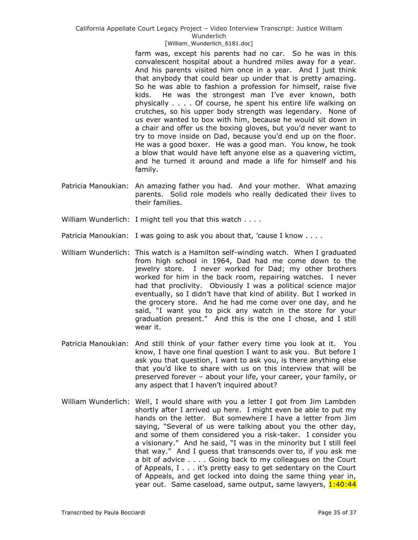farm was, except his parents had no car. So he was in this convalescent hospital about a hundred miles away for a year. And his parents visited him once in a year. And I just think that anybody that could bear up under that is pretty amazing. So he was able to fashion a profession for himself, raise five kids. He was the strongest man I've ever known, both physically . . . . Of course, he spent his entire life walking on crutches, so his upper body strength was legendary. None of us ever wanted to box with him, because he would sit down in a chair and offer us the boxing gloves, but you'd never want to try to move inside on Dad, because you'd end up on the floor. He was a good boxer. He was a good man. You know, he took a blow that would have left anyone else as a quavering victim, and he turned it around and made a life for himself and his family.

- Patricia Manoukian: An amazing father you had. And your mother. What amazing parents. Solid role models who really dedicated their lives to their families.
- William Wunderlich: I might tell you that this watch . . . .
- Patricia Manoukian: I was going to ask you about that, 'cause I know . . . .
- William Wunderlich: This watch is a Hamilton self-winding watch. When I graduated from high school in 1964, Dad had me come down to the jewelry store. I never worked for Dad; my other brothers worked for him in the back room, repairing watches. I never had that proclivity. Obviously I was a political science major eventually, so I didn't have that kind of ability. But I worked in the grocery store. And he had me come over one day, and he said, "I want you to pick any watch in the store for your graduation present." And this is the one I chose, and I still wear it.
- Patricia Manoukian: And still think of your father every time you look at it. You know, I have one final question I want to ask you. But before I ask you that question, I want to ask you, is there anything else that you'd like to share with us on this interview that will be preserved forever – about your life, your career, your family, or any aspect that I haven't inquired about?
- William Wunderlich: Well, I would share with you a letter I got from Jim Lambden shortly after I arrived up here. I might even be able to put my hands on the letter. But somewhere I have a letter from Jim saying, "Several of us were talking about you the other day, and some of them considered you a risk-taker. I consider you a visionary." And he said, "I was in the minority but I still feel that way.‖ And I guess that transcends over to, if you ask me a bit of advice . . . . Going back to my colleagues on the Court of Appeals, I . . . it's pretty easy to get sedentary on the Court of Appeals, and get locked into doing the same thing year in, year out. Same caseload, same output, same lawyers, 1:40:44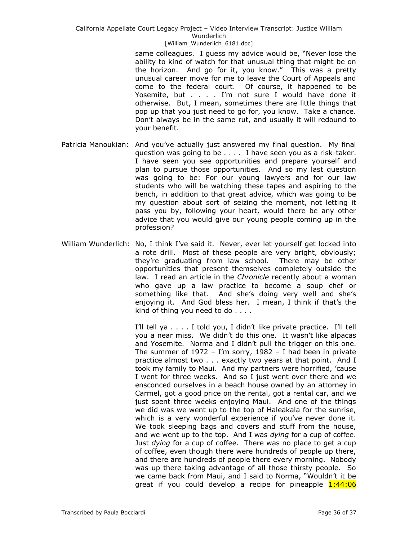same colleagues. I guess my advice would be, "Never lose the ability to kind of watch for that unusual thing that might be on the horizon. And go for it, you know." This was a pretty unusual career move for me to leave the Court of Appeals and come to the federal court. Of course, it happened to be Yosemite, but . . . . I'm not sure I would have done it otherwise. But, I mean, sometimes there are little things that pop up that you just need to go for, you know. Take a chance. Don't always be in the same rut, and usually it will redound to your benefit.

- Patricia Manoukian: And you've actually just answered my final question. My final question was going to be . . . . I have seen you as a risk-taker. I have seen you see opportunities and prepare yourself and plan to pursue those opportunities. And so my last question was going to be: For our young lawyers and for our law students who will be watching these tapes and aspiring to the bench, in addition to that great advice, which was going to be my question about sort of seizing the moment, not letting it pass you by, following your heart, would there be any other advice that you would give our young people coming up in the profession?
- William Wunderlich: No, I think I've said it. Never, ever let yourself get locked into a rote drill. Most of these people are very bright, obviously; they're graduating from law school. There may be other opportunities that present themselves completely outside the law. I read an article in the *Chronicle* recently about a woman who gave up a law practice to become a soup chef or something like that. And she's doing very well and she's enjoying it. And God bless her. I mean, I think if that's the kind of thing you need to do . . . .

I'll tell ya . . . . I told you, I didn't like private practice. I'll tell you a near miss. We didn't do this one. It wasn't like alpacas and Yosemite. Norma and I didn't pull the trigger on this one. The summer of  $1972 - I'm$  sorry,  $1982 - I$  had been in private practice almost two . . . exactly two years at that point. And I took my family to Maui. And my partners were horrified, 'cause I went for three weeks. And so I just went over there and we ensconced ourselves in a beach house owned by an attorney in Carmel, got a good price on the rental, got a rental car, and we just spent three weeks enjoying Maui. And one of the things we did was we went up to the top of Haleakala for the sunrise, which is a very wonderful experience if you've never done it. We took sleeping bags and covers and stuff from the house, and we went up to the top. And I was *dying* for a cup of coffee. Just *dying* for a cup of coffee. There was no place to get a cup of coffee, even though there were hundreds of people up there, and there are hundreds of people there every morning. Nobody was up there taking advantage of all those thirsty people. So we came back from Maui, and I said to Norma, "Wouldn't it be great if you could develop a recipe for pineapple 1:44:06